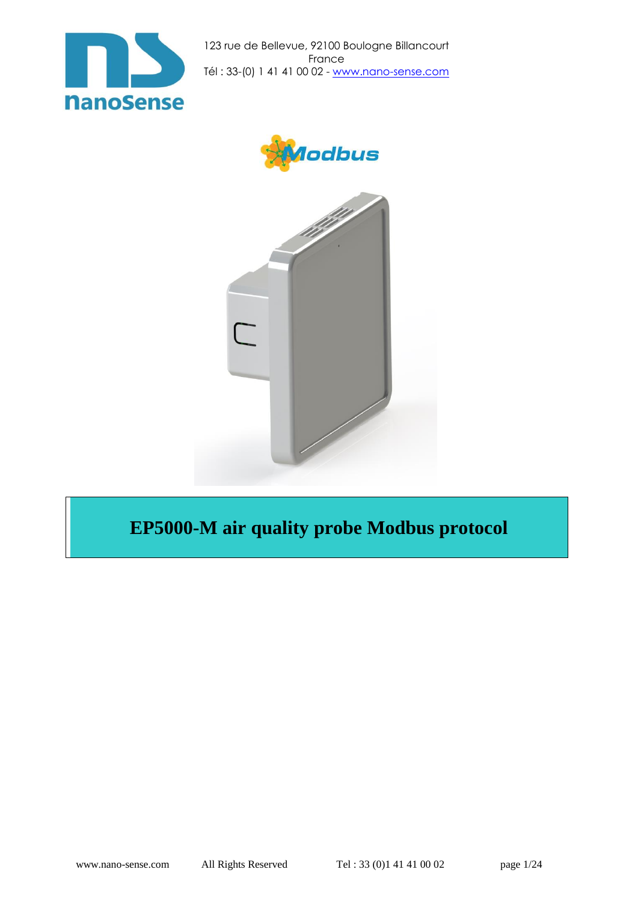





# **EP5000-M air quality probe Modbus protocol**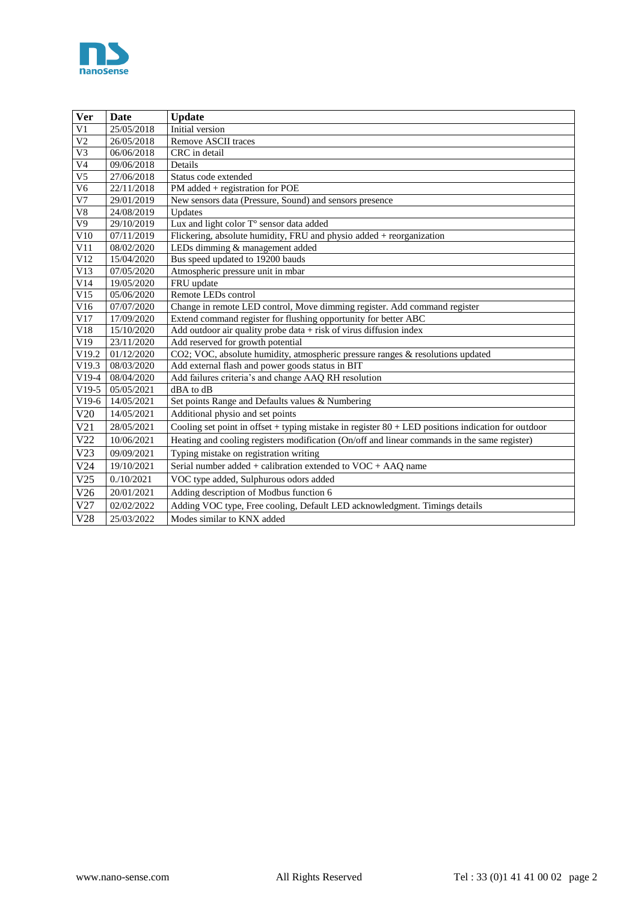

| Ver             | <b>Date</b> | <b>Update</b>                                                                                               |
|-----------------|-------------|-------------------------------------------------------------------------------------------------------------|
| V <sub>1</sub>  | 25/05/2018  | Initial version                                                                                             |
| $\overline{V2}$ | 26/05/2018  | Remove ASCII traces                                                                                         |
| V <sub>3</sub>  | 06/06/2018  | CRC in detail                                                                                               |
| V <sub>4</sub>  | 09/06/2018  | Details                                                                                                     |
| V <sub>5</sub>  | 27/06/2018  | Status code extended                                                                                        |
| V <sub>6</sub>  | 22/11/2018  | PM added + registration for POE                                                                             |
| $\overline{V}$  | 29/01/2019  | New sensors data (Pressure, Sound) and sensors presence                                                     |
| ${\rm V}8$      | 24/08/2019  | Updates                                                                                                     |
| $\overline{V9}$ | 29/10/2019  | Lux and light color T° sensor data added                                                                    |
| V10             | 07/11/2019  | Flickering, absolute humidity, FRU and physio added $+$ reorganization                                      |
| V11             | 08/02/2020  | LEDs dimming & management added                                                                             |
| V12             | 15/04/2020  | Bus speed updated to 19200 bauds                                                                            |
| V13             | 07/05/2020  | Atmospheric pressure unit in mbar                                                                           |
| V14             | 19/05/2020  | FRU update                                                                                                  |
| V15             | 05/06/2020  | Remote LEDs control                                                                                         |
| V16             | 07/07/2020  | Change in remote LED control, Move dimming register. Add command register                                   |
| V17             | 17/09/2020  | Extend command register for flushing opportunity for better ABC                                             |
| V18             | 15/10/2020  | Add outdoor air quality probe data $+$ risk of virus diffusion index                                        |
| V19             | 23/11/2020  | Add reserved for growth potential                                                                           |
| V19.2           | 01/12/2020  | CO2; VOC, absolute humidity, atmospheric pressure ranges & resolutions updated                              |
| V19.3           | 08/03/2020  | Add external flash and power goods status in BIT                                                            |
| $V19-4$         | 08/04/2020  | Add failures criteria's and change AAQ RH resolution                                                        |
| $V19-5$         | 05/05/2021  | dBA to dB                                                                                                   |
| $V19-6$         | 14/05/2021  | Set points Range and Defaults values & Numbering                                                            |
| V20             | 14/05/2021  | Additional physio and set points                                                                            |
| V21             | 28/05/2021  | Cooling set point in offset + typing mistake in register $80 + \text{LED}$ positions indication for outdoor |
| V22             | 10/06/2021  | Heating and cooling registers modification (On/off and linear commands in the same register)                |
| V23             | 09/09/2021  | Typing mistake on registration writing                                                                      |
| V24             | 19/10/2021  | Serial number added $+$ calibration extended to $VOC + AAQ$ name                                            |
| V25             | 0.10/2021   | VOC type added, Sulphurous odors added                                                                      |
| V26             | 20/01/2021  | Adding description of Modbus function 6                                                                     |
| V27             | 02/02/2022  | Adding VOC type, Free cooling, Default LED acknowledgment. Timings details                                  |
| V28             | 25/03/2022  | Modes similar to KNX added                                                                                  |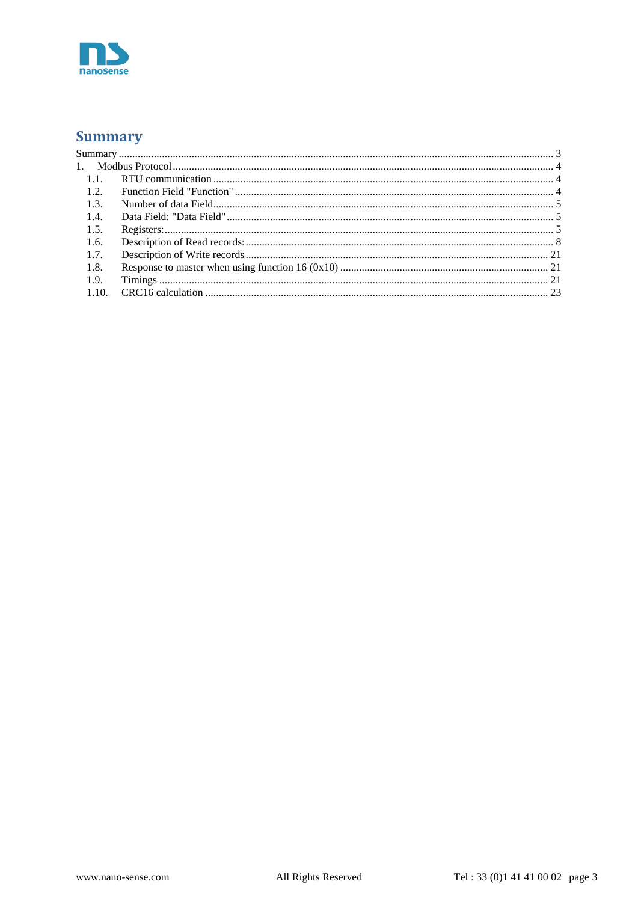

# <span id="page-2-0"></span>**Summary**

| $-1.1.$ |  |
|---------|--|
| 1.2.    |  |
| 1.3.    |  |
| 1.4.    |  |
| 1.5.    |  |
| 1.6.    |  |
| 1.7.    |  |
| 1.8.    |  |
| 1.9.    |  |
| 1.10.   |  |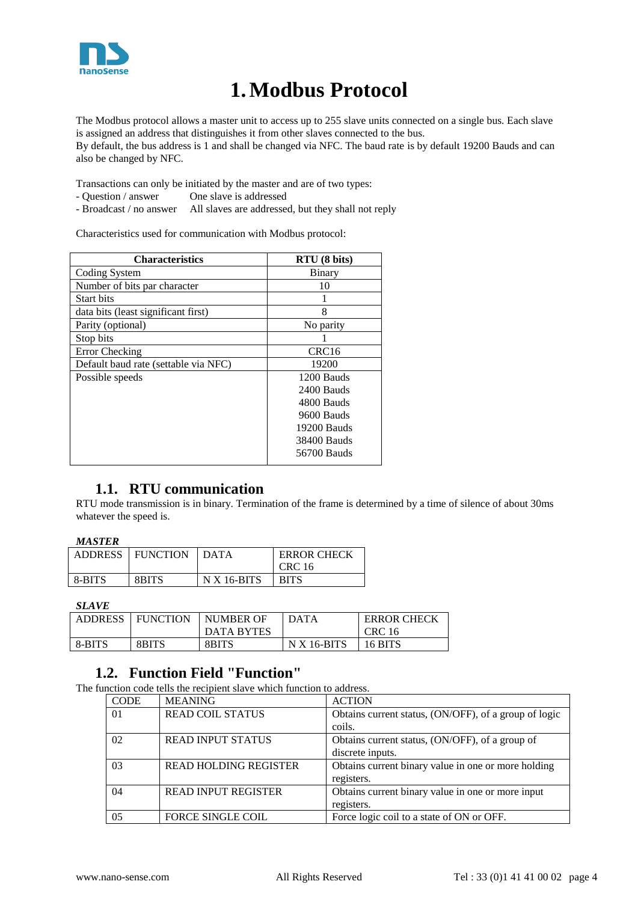

# **1.Modbus Protocol**

<span id="page-3-0"></span>The Modbus protocol allows a master unit to access up to 255 slave units connected on a single bus. Each slave is assigned an address that distinguishes it from other slaves connected to the bus. By default, the bus address is 1 and shall be changed via NFC. The baud rate is by default 19200 Bauds and can also be changed by NFC.

Transactions can only be initiated by the master and are of two types:

- Question / answer One slave is addressed
- Broadcast / no answer All slaves are addressed, but they shall not reply

Characteristics used for communication with Modbus protocol:

| <b>Characteristics</b>               | RTU(8 bits)       |
|--------------------------------------|-------------------|
| Coding System                        | Binary            |
| Number of bits par character         | 10                |
| <b>Start bits</b>                    |                   |
| data bits (least significant first)  | 8                 |
| Parity (optional)                    | No parity         |
| Stop bits                            |                   |
| Error Checking                       | CRC <sub>16</sub> |
| Default baud rate (settable via NFC) | 19200             |
| Possible speeds                      | 1200 Bauds        |
|                                      | 2400 Bauds        |
|                                      | 4800 Bauds        |
|                                      | 9600 Bauds        |
|                                      | 19200 Bauds       |
|                                      | 38400 Bauds       |
|                                      | 56700 Bauds       |
|                                      |                   |

# **1.1. RTU communication**

<span id="page-3-1"></span>RTU mode transmission is in binary. Termination of the frame is determined by a time of silence of about 30ms whatever the speed is.

| <b>ADDRESS</b> | <b>FUNCTION</b> | <b>DATA</b>   | <b>ERROR CHECK</b> |
|----------------|-----------------|---------------|--------------------|
|                |                 |               | CRC 16             |
| 8-BITS         | 8BITS           | $N X 16-BITS$ | <b>BITS</b>        |

*SLAVE*

| <b>ADDRESS</b> | <b>FUNCTION</b> | NUMBER OF         | <b>DATA</b>   | <b>ERROR CHECK</b> |
|----------------|-----------------|-------------------|---------------|--------------------|
|                |                 | <b>DATA BYTES</b> |               | CRC 16             |
| 8-BITS         | 8BITS           | 8BITS             | $N X 16-BITS$ | 16 BITS            |

# **1.2. Function Field "Function"**

<span id="page-3-2"></span>The function code tells the recipient slave which function to address.

| <b>CODE</b> | <b>MEANING</b>               | <b>ACTION</b>                                         |
|-------------|------------------------------|-------------------------------------------------------|
| 01          | <b>READ COIL STATUS</b>      | Obtains current status, (ON/OFF), of a group of logic |
|             |                              | coils.                                                |
| 02          | <b>READ INPUT STATUS</b>     | Obtains current status, (ON/OFF), of a group of       |
|             |                              | discrete inputs.                                      |
| 03          | <b>READ HOLDING REGISTER</b> | Obtains current binary value in one or more holding   |
|             |                              | registers.                                            |
| 04          | <b>READ INPUT REGISTER</b>   | Obtains current binary value in one or more input     |
|             |                              | registers.                                            |
| 05          | <b>FORCE SINGLE COIL</b>     | Force logic coil to a state of ON or OFF.             |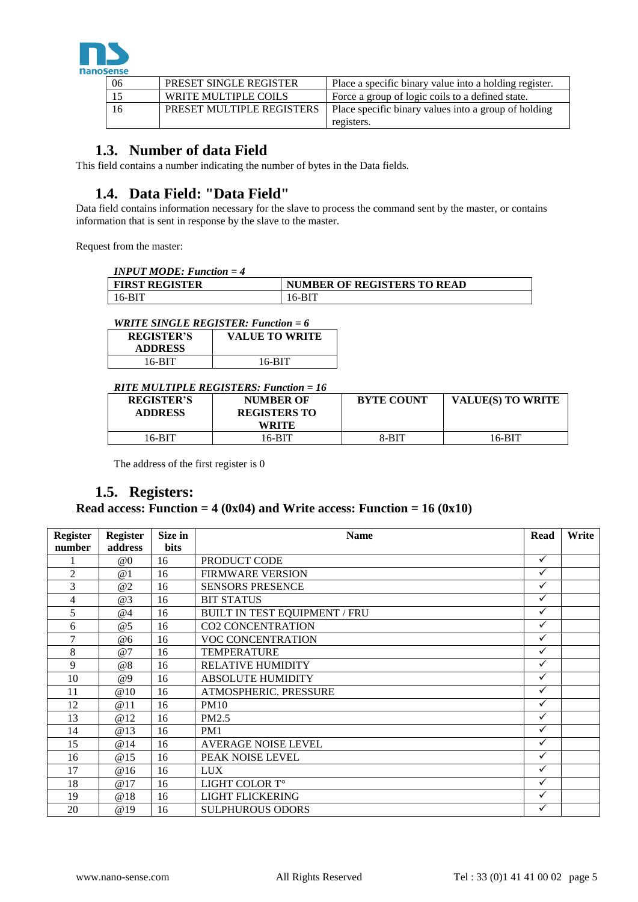

| 06 | <b>PRESET SINGLE REGISTER</b> | Place a specific binary value into a holding register. |
|----|-------------------------------|--------------------------------------------------------|
|    | WRITE MULTIPLE COILS          | Force a group of logic coils to a defined state.       |
| 16 | PRESET MULTIPLE REGISTERS     | Place specific binary values into a group of holding   |
|    |                               | registers.                                             |

# **1.3. Number of data Field**

<span id="page-4-0"></span>This field contains a number indicating the number of bytes in the Data fields.

# **1.4. Data Field: "Data Field"**

<span id="page-4-1"></span>Data field contains information necessary for the slave to process the command sent by the master, or contains information that is sent in response by the slave to the master.

Request from the master:

| $INPUT MODE: Function = 4$ |                                    |
|----------------------------|------------------------------------|
| <b>FIRST REGISTER</b>      | <b>NUMBER OF REGISTERS TO READ</b> |
| $\mid$ 16-BIT              | 16-BIT                             |

# *WRITE SINGLE REGISTER: Function = 6*

| <b>REGISTER'S</b><br><b>ADDRESS</b> | <b>VALUE TO WRITE</b> |
|-------------------------------------|-----------------------|
| 16-BIT                              | 16-BIT                |

## *RITE MULTIPLE REGISTERS: Function = 16*

| $\bm{u}$ . The state of $\bm{u}$ is the state of $\bm{u}$ in $\bm{u}$ is the state of $\bm{u}$ |                     |                   |                          |  |  |  |
|------------------------------------------------------------------------------------------------|---------------------|-------------------|--------------------------|--|--|--|
| <b>REGISTER'S</b>                                                                              | <b>NUMBER OF</b>    | <b>BYTE COUNT</b> | <b>VALUE(S) TO WRITE</b> |  |  |  |
| <b>ADDRESS</b>                                                                                 | <b>REGISTERS TO</b> |                   |                          |  |  |  |
|                                                                                                | WRITE               |                   |                          |  |  |  |
| 16-BIT                                                                                         | 16-BIT              | 8-BIT             | 16-BIT                   |  |  |  |

The address of the first register is 0

# **1.5. Registers:**

# <span id="page-4-2"></span>**Read access: Function = 4 (0x04) and Write access: Function = 16 (0x10)**

| <b>Register</b> | <b>Register</b> | Size in     | <b>Name</b>                   | Read         | Write |
|-----------------|-----------------|-------------|-------------------------------|--------------|-------|
| number          | address         | <b>bits</b> |                               |              |       |
|                 | @0              | 16          | PRODUCT CODE                  | ✓            |       |
| $\overline{2}$  | @1              | 16          | <b>FIRMWARE VERSION</b>       | $\checkmark$ |       |
| 3               | @2              | 16          | <b>SENSORS PRESENCE</b>       | $\checkmark$ |       |
| 4               | @3              | 16          | <b>BIT STATUS</b>             | $\checkmark$ |       |
| 5               | @4              | 16          | BUILT IN TEST EQUIPMENT / FRU | $\checkmark$ |       |
| 6               | @5              | 16          | <b>CO2 CONCENTRATION</b>      | $\checkmark$ |       |
| $\overline{7}$  | @6              | 16          | VOC CONCENTRATION             | $\checkmark$ |       |
| 8               | @7              | 16          | <b>TEMPERATURE</b>            | $\checkmark$ |       |
| 9               | @8              | 16          | <b>RELATIVE HUMIDITY</b>      | ✓            |       |
| 10              | @9              | 16          | <b>ABSOLUTE HUMIDITY</b>      | ✓            |       |
| 11              | @10             | 16          | <b>ATMOSPHERIC. PRESSURE</b>  | $\checkmark$ |       |
| 12              | @11             | 16          | <b>PM10</b>                   | ✓            |       |
| 13              | @12             | 16          | PM2.5                         | $\checkmark$ |       |
| 14              | <b>@13</b>      | 16          | PM1                           | $\checkmark$ |       |
| 15              | @14             | 16          | <b>AVERAGE NOISE LEVEL</b>    | ✓            |       |
| 16              | <b>@15</b>      | 16          | PEAK NOISE LEVEL              | $\checkmark$ |       |
| 17              | @16             | 16          | <b>LUX</b>                    | $\checkmark$ |       |
| 18              | @17             | 16          | LIGHT COLOR T°                | $\checkmark$ |       |
| 19              | @18             | 16          | LIGHT FLICKERING              | $\checkmark$ |       |
| 20              | @19             | 16          | <b>SULPHUROUS ODORS</b>       | $\checkmark$ |       |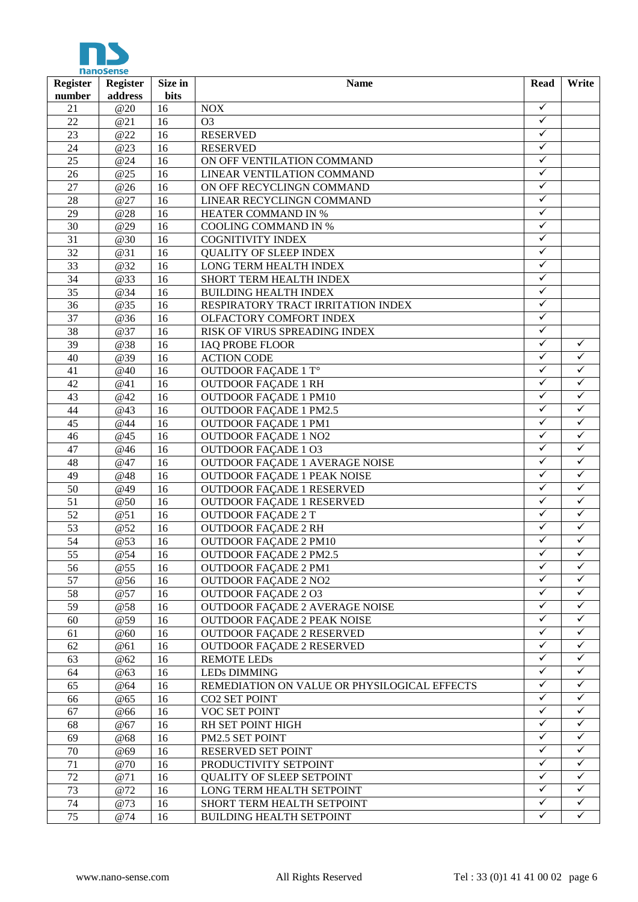

| <b>Register</b> | <b>Register</b> | Size in | <b>Name</b>                                  |              |              |  |  |  |
|-----------------|-----------------|---------|----------------------------------------------|--------------|--------------|--|--|--|
| number          | address         | bits    |                                              |              |              |  |  |  |
| 21              | @20             | 16      | <b>NOX</b>                                   | ✓            |              |  |  |  |
| 22              | @21             | 16      | O <sub>3</sub>                               | $\checkmark$ |              |  |  |  |
| 23              | @22             | 16      | <b>RESERVED</b>                              | $\checkmark$ |              |  |  |  |
| 24              | @23             | 16      | <b>RESERVED</b>                              | $\checkmark$ |              |  |  |  |
| 25              | @24             | 16      | ON OFF VENTILATION COMMAND                   | $\checkmark$ |              |  |  |  |
| 26              | @25             | 16      | LINEAR VENTILATION COMMAND                   | $\checkmark$ |              |  |  |  |
| 27              | @26             | 16      | ON OFF RECYCLINGN COMMAND                    | $\checkmark$ |              |  |  |  |
| 28              | @27             | 16      | LINEAR RECYCLINGN COMMAND                    | $\checkmark$ |              |  |  |  |
| 29              | @28             | 16      | <b>HEATER COMMAND IN %</b>                   | $\checkmark$ |              |  |  |  |
| $\overline{30}$ | @29             | 16      | <b>COOLING COMMAND IN %</b>                  | $\checkmark$ |              |  |  |  |
| 31              | @30             | 16      | <b>COGNITIVITY INDEX</b>                     | ✓            |              |  |  |  |
| 32              | @31             | 16      | <b>QUALITY OF SLEEP INDEX</b>                | ✓            |              |  |  |  |
| 33              | @32             | 16      | LONG TERM HEALTH INDEX                       | $\checkmark$ |              |  |  |  |
| 34              | @33             | 16      | SHORT TERM HEALTH INDEX                      | $\checkmark$ |              |  |  |  |
| 35              | @34             | 16      | <b>BUILDING HEALTH INDEX</b>                 | ✓            |              |  |  |  |
| $\overline{36}$ | @35             | 16      | RESPIRATORY TRACT IRRITATION INDEX           | $\checkmark$ |              |  |  |  |
| 37              | @36             | 16      | OLFACTORY COMFORT INDEX                      | $\checkmark$ |              |  |  |  |
| 38              | @37             | 16      | RISK OF VIRUS SPREADING INDEX                | $\sqrt{}$    |              |  |  |  |
| 39              | @38             | 16      | <b>IAQ PROBE FLOOR</b>                       | $\sqrt{}$    | ✓            |  |  |  |
| 40              | @39             | 16      | <b>ACTION CODE</b>                           | $\checkmark$ | $\checkmark$ |  |  |  |
| 41              | @40             | 16      | OUTDOOR FAÇADE 1 T°                          | ✓            | ✓            |  |  |  |
| 42              | @41             | 16      | <b>OUTDOOR FAÇADE 1 RH</b>                   | ✓            | $\checkmark$ |  |  |  |
| 43              | @42             | 16      | <b>OUTDOOR FAÇADE 1 PM10</b>                 | ✓            | $\checkmark$ |  |  |  |
| 44              | @43             | 16      | <b>OUTDOOR FAÇADE 1 PM2.5</b>                | ✓            | $\checkmark$ |  |  |  |
| 45              | @44             | 16      | <b>OUTDOOR FAÇADE 1 PM1</b>                  | ✓            | $\checkmark$ |  |  |  |
| 46              | @45             | 16      | <b>OUTDOOR FAÇADE 1 NO2</b>                  | $\checkmark$ | $\checkmark$ |  |  |  |
| 47              | @46             | 16      | <b>OUTDOOR FAÇADE 1 O3</b>                   | $\checkmark$ | $\checkmark$ |  |  |  |
| 48              | @47             | 16      | OUTDOOR FAÇADE 1 AVERAGE NOISE               | $\checkmark$ | $\checkmark$ |  |  |  |
| 49              | @48             | 16      | <b>OUTDOOR FAÇADE 1 PEAK NOISE</b>           | $\checkmark$ | $\checkmark$ |  |  |  |
| 50              | @49             | 16      | <b>OUTDOOR FAÇADE 1 RESERVED</b>             | $\checkmark$ | $\checkmark$ |  |  |  |
| 51              | @50             | 16      | <b>OUTDOOR FAÇADE 1 RESERVED</b>             | $\checkmark$ | $\checkmark$ |  |  |  |
| 52              | @51             | 16      | <b>OUTDOOR FAÇADE 2 T</b>                    | $\checkmark$ | $\checkmark$ |  |  |  |
| 53              | @52             | 16      | <b>OUTDOOR FAÇADE 2 RH</b>                   | $\checkmark$ | $\checkmark$ |  |  |  |
| 54              | @53             | 16      | <b>OUTDOOR FAÇADE 2 PM10</b>                 | ✓            | $\checkmark$ |  |  |  |
| $\overline{55}$ | @54             | 16      | <b>OUTDOOR FACADE 2 PM2.5</b>                | $\checkmark$ | $\checkmark$ |  |  |  |
|                 |                 | 16      | <b>OUTDOOR FACADE 2 PM1</b>                  | ✓            | ✓            |  |  |  |
| 56<br>57        | @55<br>@56      | 16      | <b>OUTDOOR FAÇADE 2 NO2</b>                  | ✓            | ✓            |  |  |  |
| 58              | @57             | 16      | <b>OUTDOOR FACADE 2 O3</b>                   | $\checkmark$ | $\checkmark$ |  |  |  |
| 59              |                 |         |                                              | ✓            | ✓            |  |  |  |
| 60              | @58             | 16      | OUTDOOR FAÇADE 2 AVERAGE NOISE               | $\checkmark$ | $\checkmark$ |  |  |  |
|                 | @59             | 16      | OUTDOOR FACADE 2 PEAK NOISE                  | $\checkmark$ | ✓            |  |  |  |
| 61              | @60             | 16      | <b>OUTDOOR FACADE 2 RESERVED</b>             | $\checkmark$ | $\checkmark$ |  |  |  |
| 62              | @61             | 16      | <b>OUTDOOR FACADE 2 RESERVED</b>             | ✓            | ✓            |  |  |  |
| 63              | @62             | 16      | <b>REMOTE LEDS</b>                           | $\checkmark$ | ✓            |  |  |  |
| 64              | @63             | 16      | <b>LEDs DIMMING</b>                          | ✓            | ✓            |  |  |  |
| 65              | @64             | 16      | REMEDIATION ON VALUE OR PHYSILOGICAL EFFECTS |              |              |  |  |  |
| 66              | @65             | 16      | <b>CO2 SET POINT</b>                         | ✓<br>✓       | ✓            |  |  |  |
| 67              | @66             | 16      | VOC SET POINT                                |              | ✓            |  |  |  |
| 68              | @67             | 16      | RH SET POINT HIGH                            | ✓            | ✓            |  |  |  |
| 69              | @68             | 16      | PM2.5 SET POINT                              | ✓            | ✓            |  |  |  |
| 70              | @69             | 16      | RESERVED SET POINT                           | $\checkmark$ | ✓            |  |  |  |
| 71              | @70             | 16      | PRODUCTIVITY SETPOINT                        | $\checkmark$ | $\checkmark$ |  |  |  |
| 72              | @71             | 16      | QUALITY OF SLEEP SETPOINT                    | $\checkmark$ | ✓            |  |  |  |
| 73              | @72             | 16      | LONG TERM HEALTH SETPOINT                    | $\checkmark$ | $\checkmark$ |  |  |  |
| 74              | @73             | 16      | SHORT TERM HEALTH SETPOINT                   | $\checkmark$ | $\checkmark$ |  |  |  |
| 75              | @74             | 16      | <b>BUILDING HEALTH SETPOINT</b>              | $\checkmark$ | $\checkmark$ |  |  |  |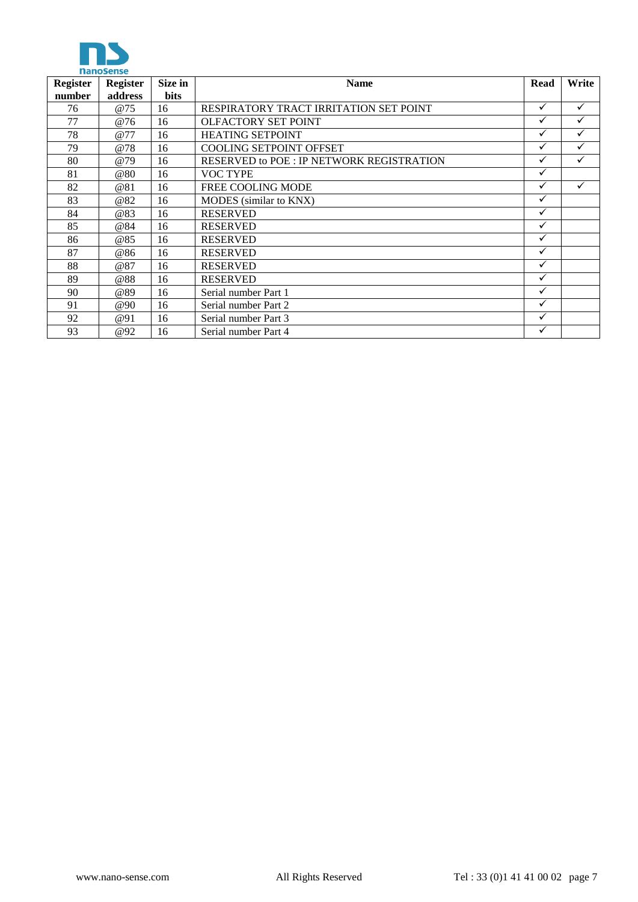

| <b>Register</b> | Register   | Size in     | <b>Name</b>                                     | Read         | Write        |
|-----------------|------------|-------------|-------------------------------------------------|--------------|--------------|
| number          | address    | <b>bits</b> |                                                 |              |              |
| 76              | <b>@75</b> | 16          | RESPIRATORY TRACT IRRITATION SET POINT          | ✓            | $\checkmark$ |
| 77              | @76        | 16          | OLFACTORY SET POINT                             | ✓            | $\checkmark$ |
| 78              | @77        | 16          | <b>HEATING SETPOINT</b>                         | ✓            | $\checkmark$ |
| 79              | @78        | 16          | <b>COOLING SETPOINT OFFSET</b>                  | ✓            | $\checkmark$ |
| 80              | <b>@79</b> | 16          | <b>RESERVED to POE: IP NETWORK REGISTRATION</b> | ✓            | $\checkmark$ |
| 81              | @80        | 16          | <b>VOC TYPE</b>                                 | $\checkmark$ |              |
| 82              | @81        | 16          | FREE COOLING MODE                               | ✓            | $\checkmark$ |
| 83              | @82        | 16          | MODES (similar to KNX)                          | ✓            |              |
| 84              | @83        | 16          | <b>RESERVED</b>                                 | ✓            |              |
| 85              | @84        | 16          | <b>RESERVED</b>                                 | ✓            |              |
| 86              | <b>@85</b> | 16          | <b>RESERVED</b>                                 | ✓            |              |
| 87              | @86        | 16          | <b>RESERVED</b>                                 | ✓            |              |
| 88              | @87        | 16          | <b>RESERVED</b>                                 | ✓            |              |
| 89              | @88        | 16          | <b>RESERVED</b>                                 | $\checkmark$ |              |
| 90              | @89        | 16          | Serial number Part 1                            | ✓            |              |
| 91              | <b>@90</b> | 16          | Serial number Part 2                            | ✓            |              |
| 92              | @91        | 16          | Serial number Part 3                            | ✓            |              |
| 93              | @92        | 16          | Serial number Part 4                            | ✓            |              |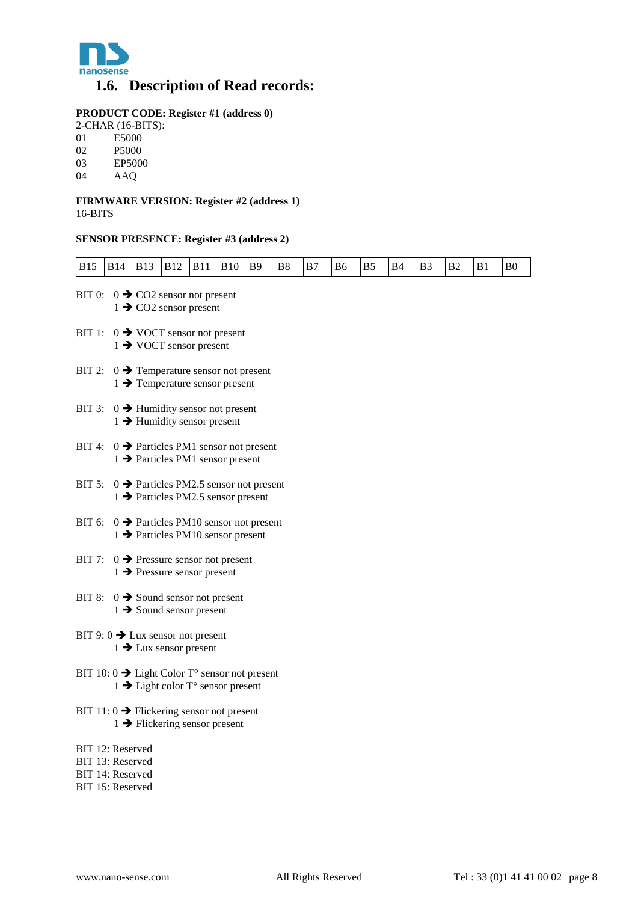

# <span id="page-7-0"></span>**1.6. Description of Read records:**

# **PRODUCT CODE: Register #1 (address 0)**

- 2-CHAR (16-BITS):<br>01 E5000
- 01 E5000<br>02 P5000
- P<sub>5000</sub>
- 03 EP5000<br>04 AAO
- 04 AAQ

#### **FIRMWARE VERSION: Register #2 (address 1)** 16-BITS

### **SENSOR PRESENCE: Register #3 (address 2)**

| <b>B15</b> | <b>B14</b>                                                                                                | <b>B13</b> | <b>B12</b>                                                                                           | <b>B11</b> | <b>B10</b> | <b>B9</b> | B8 | B7 | B6 | B5 | <b>B4</b> | B <sub>3</sub> | Β2 | B1 | B <sub>0</sub> |
|------------|-----------------------------------------------------------------------------------------------------------|------------|------------------------------------------------------------------------------------------------------|------------|------------|-----------|----|----|----|----|-----------|----------------|----|----|----------------|
| BIT 0:     |                                                                                                           |            | $0 \rightarrow$ CO2 sensor not present<br>$1 \rightarrow$ CO2 sensor present                         |            |            |           |    |    |    |    |           |                |    |    |                |
|            | BIT 1: $0 \rightarrow$ VOCT sensor not present<br>$1 \rightarrow$ VOCT sensor present                     |            |                                                                                                      |            |            |           |    |    |    |    |           |                |    |    |                |
| BIT 2:     |                                                                                                           |            | $0 \rightarrow$ Temperature sensor not present<br>$1 \rightarrow$ Temperature sensor present         |            |            |           |    |    |    |    |           |                |    |    |                |
| BIT 3:     |                                                                                                           |            | $0 \rightarrow$ Humidity sensor not present<br>$1 \rightarrow$ Humidity sensor present               |            |            |           |    |    |    |    |           |                |    |    |                |
| BIT 4:     |                                                                                                           |            | $0 \rightarrow$ Particles PM1 sensor not present<br>$1 \rightarrow$ Particles PM1 sensor present     |            |            |           |    |    |    |    |           |                |    |    |                |
| BIT 5:     |                                                                                                           |            | $0 \rightarrow$ Particles PM2.5 sensor not present<br>$1 \rightarrow$ Particles PM2.5 sensor present |            |            |           |    |    |    |    |           |                |    |    |                |
|            | BIT 6: $0 \rightarrow$ Particles PM10 sensor not present<br>$1 \rightarrow$ Particles PM10 sensor present |            |                                                                                                      |            |            |           |    |    |    |    |           |                |    |    |                |
| BIT 7:     |                                                                                                           |            | $0 \rightarrow$ Pressure sensor not present<br>$1 \rightarrow$ Pressure sensor present               |            |            |           |    |    |    |    |           |                |    |    |                |
| BIT 8:     |                                                                                                           |            | $0 \rightarrow$ Sound sensor not present<br>$1 \rightarrow$ Sound sensor present                     |            |            |           |    |    |    |    |           |                |    |    |                |
|            | BIT 9: $0 \rightarrow$ Lux sensor not present                                                             |            | $1 \rightarrow$ Lux sensor present                                                                   |            |            |           |    |    |    |    |           |                |    |    |                |
|            | BIT 10: 0 $\rightarrow$ Light Color T° sensor not present                                                 |            | $1 \rightarrow$ Light color T° sensor present                                                        |            |            |           |    |    |    |    |           |                |    |    |                |
|            | BIT 11: $0 \rightarrow$ Flickering sensor not present                                                     |            | $1 \rightarrow$ Flickering sensor present                                                            |            |            |           |    |    |    |    |           |                |    |    |                |
|            | BIT 12: Reserved<br>BIT 13: Reserved<br>BIT 14: Reserved<br>BIT 15: Reserved                              |            |                                                                                                      |            |            |           |    |    |    |    |           |                |    |    |                |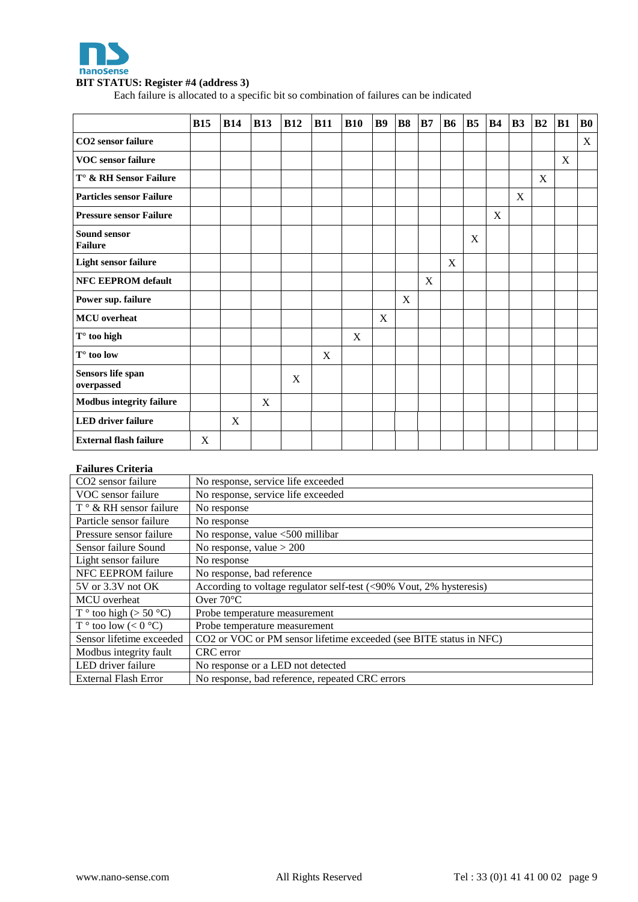

#### **BIT STATUS: Register #4 (address 3)**

Each failure is allocated to a specific bit so combination of failures can be indicated

|                                      | <b>B15</b> | <b>B14</b> | <b>B13</b> | <b>B12</b> | <b>B11</b>  | <b>B10</b> | <b>B9</b> | <b>B8</b> | B7          | <b>B6</b> | B <sub>5</sub> | <b>B4</b> | B <sub>3</sub> | B <sub>2</sub> | <b>B1</b> | <b>B0</b> |
|--------------------------------------|------------|------------|------------|------------|-------------|------------|-----------|-----------|-------------|-----------|----------------|-----------|----------------|----------------|-----------|-----------|
| <b>CO2</b> sensor failure            |            |            |            |            |             |            |           |           |             |           |                |           |                |                |           | X         |
| <b>VOC</b> sensor failure            |            |            |            |            |             |            |           |           |             |           |                |           |                |                | X         |           |
| T° & RH Sensor Failure               |            |            |            |            |             |            |           |           |             |           |                |           |                | X              |           |           |
| <b>Particles sensor Failure</b>      |            |            |            |            |             |            |           |           |             |           |                |           | X              |                |           |           |
| <b>Pressure sensor Failure</b>       |            |            |            |            |             |            |           |           |             |           |                | X         |                |                |           |           |
| Sound sensor<br><b>Failure</b>       |            |            |            |            |             |            |           |           |             |           | X              |           |                |                |           |           |
| <b>Light sensor failure</b>          |            |            |            |            |             |            |           |           |             | X         |                |           |                |                |           |           |
| <b>NFC EEPROM default</b>            |            |            |            |            |             |            |           |           | $\mathbf X$ |           |                |           |                |                |           |           |
| Power sup. failure                   |            |            |            |            |             |            |           | X         |             |           |                |           |                |                |           |           |
| <b>MCU</b> overheat                  |            |            |            |            |             |            | X         |           |             |           |                |           |                |                |           |           |
| $T°$ too high                        |            |            |            |            |             | X          |           |           |             |           |                |           |                |                |           |           |
| $T^{\circ}$ too low                  |            |            |            |            | $\mathbf X$ |            |           |           |             |           |                |           |                |                |           |           |
| Sensors life span<br>$\,$ overpassed |            |            |            | X          |             |            |           |           |             |           |                |           |                |                |           |           |
| <b>Modbus integrity failure</b>      |            |            | X          |            |             |            |           |           |             |           |                |           |                |                |           |           |
| <b>LED</b> driver failure            |            | X          |            |            |             |            |           |           |             |           |                |           |                |                |           |           |
| <b>External flash failure</b>        | X          |            |            |            |             |            |           |           |             |           |                |           |                |                |           |           |

# **Failures Criteria**

| CO <sub>2</sub> sensor failure         | No response, service life exceeded                                  |
|----------------------------------------|---------------------------------------------------------------------|
| VOC sensor failure                     | No response, service life exceeded                                  |
| $T \circ \& RH$ sensor failure         | No response                                                         |
| Particle sensor failure                | No response                                                         |
| Pressure sensor failure                | No response, value <500 millibar                                    |
| Sensor failure Sound                   | No response, value $> 200$                                          |
| Light sensor failure                   | No response                                                         |
| NFC EEPROM failure                     | No response, bad reference                                          |
| 5V or 3.3V not OK                      | According to voltage regulator self-test (<90% Vout, 2% hysteresis) |
| <b>MCU</b> overheat                    | Over $70^{\circ}$ C                                                 |
| $T^{\circ}$ too high (> 50 °C)         | Probe temperature measurement                                       |
| $T^{\circ}$ too low (< 0 $^{\circ}C$ ) | Probe temperature measurement                                       |
| Sensor lifetime exceeded               | CO2 or VOC or PM sensor lifetime exceeded (see BITE status in NFC)  |
| Modbus integrity fault                 | CRC error                                                           |
| LED driver failure                     | No response or a LED not detected                                   |
| External Flash Error                   | No response, bad reference, repeated CRC errors                     |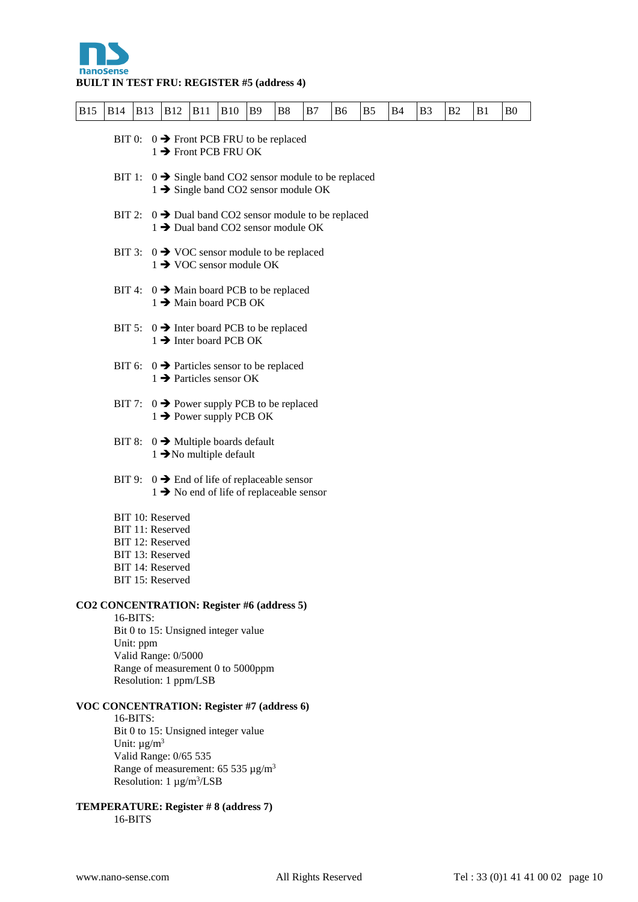

# **BUILT IN TEST FRU: REGISTER #5 (address 4)**

| <b>B15</b> | <b>B14</b> | <b>B13</b>                               | <b>B12</b>                                                                                                           | <b>B11</b>                                                                                                                                                                         | <b>B10</b> | <b>B</b> 9 | B <sub>8</sub> | B7 | B6 | B <sub>5</sub> | B4 | B <sub>3</sub> | B <sub>2</sub> | B1 | B <sub>0</sub> |
|------------|------------|------------------------------------------|----------------------------------------------------------------------------------------------------------------------|------------------------------------------------------------------------------------------------------------------------------------------------------------------------------------|------------|------------|----------------|----|----|----------------|----|----------------|----------------|----|----------------|
|            |            |                                          |                                                                                                                      | BIT 0: $0 \rightarrow$ Front PCB FRU to be replaced<br>$1 \rightarrow$ Front PCB FRU OK                                                                                            |            |            |                |    |    |                |    |                |                |    |                |
|            | BIT 1:     |                                          |                                                                                                                      | $0 \rightarrow$ Single band CO2 sensor module to be replaced<br>$1 \rightarrow$ Single band CO2 sensor module OK                                                                   |            |            |                |    |    |                |    |                |                |    |                |
|            |            |                                          |                                                                                                                      | BIT 2: $0 \rightarrow$ Dual band CO2 sensor module to be replaced<br>1 > Dual band CO2 sensor module OK                                                                            |            |            |                |    |    |                |    |                |                |    |                |
|            | BIT 3:     |                                          |                                                                                                                      | $0 \rightarrow$ VOC sensor module to be replaced<br>$1 \rightarrow$ VOC sensor module OK                                                                                           |            |            |                |    |    |                |    |                |                |    |                |
|            | BIT 4:     |                                          |                                                                                                                      | $0 \rightarrow$ Main board PCB to be replaced<br>$1 \rightarrow$ Main board PCB OK                                                                                                 |            |            |                |    |    |                |    |                |                |    |                |
|            |            |                                          |                                                                                                                      | BIT 5: $0 \rightarrow$ Inter board PCB to be replaced<br>$1 \rightarrow$ Inter board PCB OK                                                                                        |            |            |                |    |    |                |    |                |                |    |                |
|            |            |                                          |                                                                                                                      | BIT 6: $0 \rightarrow$ Particles sensor to be replaced<br>$1 \rightarrow$ Particles sensor OK                                                                                      |            |            |                |    |    |                |    |                |                |    |                |
|            |            |                                          |                                                                                                                      | BIT 7: $0 \rightarrow$ Power supply PCB to be replaced<br>$1 \rightarrow$ Power supply PCB OK                                                                                      |            |            |                |    |    |                |    |                |                |    |                |
|            |            |                                          |                                                                                                                      | BIT 8: $0 \rightarrow$ Multiple boards default<br>$1 \rightarrow$ No multiple default                                                                                              |            |            |                |    |    |                |    |                |                |    |                |
|            |            |                                          |                                                                                                                      | BIT 9: $0 \rightarrow$ End of life of replaceable sensor<br>$1 \rightarrow$ No end of life of replaceable sensor                                                                   |            |            |                |    |    |                |    |                |                |    |                |
|            |            |                                          | BIT 10: Reserved<br>BIT 11: Reserved<br>BIT 12: Reserved<br>BIT 13: Reserved<br>BIT 14: Reserved<br>BIT 15: Reserved |                                                                                                                                                                                    |            |            |                |    |    |                |    |                |                |    |                |
|            |            |                                          |                                                                                                                      | CO2 CONCENTRATION: Register #6 (address 5)                                                                                                                                         |            |            |                |    |    |                |    |                |                |    |                |
|            |            | 16-BITS:<br>Unit: ppm                    | Valid Range: 0/5000                                                                                                  | Bit 0 to 15: Unsigned integer value<br>Range of measurement 0 to 5000ppm<br>Resolution: 1 ppm/LSB                                                                                  |            |            |                |    |    |                |    |                |                |    |                |
|            |            | 16-BITS:<br>Unit: $\mu$ g/m <sup>3</sup> | Valid Range: 0/65 535                                                                                                | <b>VOC CONCENTRATION: Register #7 (address 6)</b><br>Bit 0 to 15: Unsigned integer value<br>Range of measurement: 65 535 $\mu$ g/m <sup>3</sup><br>Resolution: $1 \mu g/m^3 / LSB$ |            |            |                |    |    |                |    |                |                |    |                |
|            |            | 16-BITS                                  |                                                                                                                      | TEMPERATURE: Register #8 (address 7)                                                                                                                                               |            |            |                |    |    |                |    |                |                |    |                |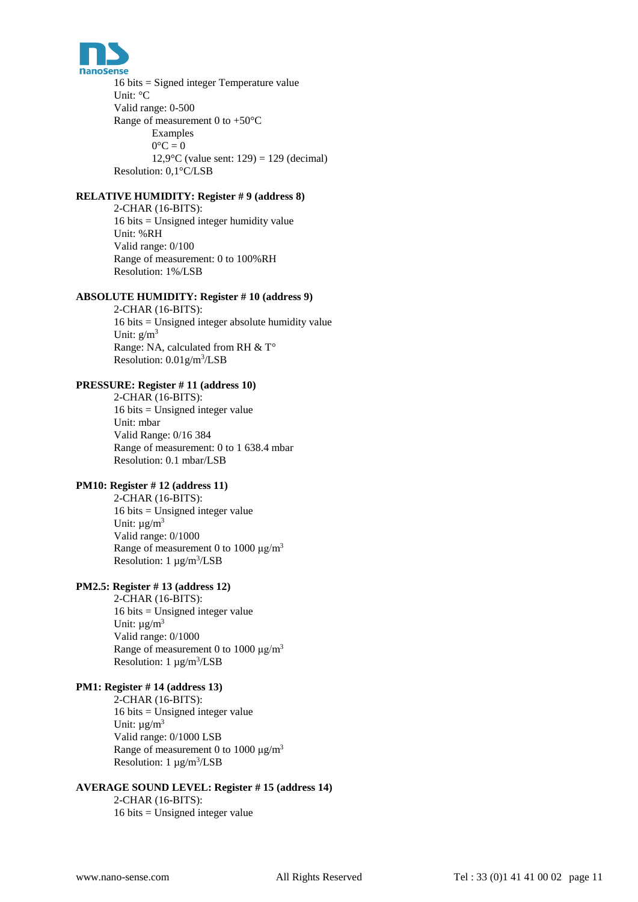

16 bits = Signed integer Temperature value Unit: °C Valid range: 0-500 Range of measurement 0 to  $+50^{\circ}$ C Examples  $0^{\circ}C = 0$ 12,9 $^{\circ}$ C (value sent: 129) = 129 (decimal) Resolution: 0,1°C/LSB

# **RELATIVE HUMIDITY: Register # 9 (address 8)**

2-CHAR (16-BITS): 16 bits = Unsigned integer humidity value Unit: %RH Valid range: 0/100 Range of measurement: 0 to 100%RH Resolution: 1%/LSB

#### **ABSOLUTE HUMIDITY: Register # 10 (address 9)**

2-CHAR (16-BITS): 16 bits = Unsigned integer absolute humidity value Unit:  $g/m^3$ Range: NA, calculated from RH & T° Resolution: 0.01g/m<sup>3</sup>/LSB

#### **PRESSURE: Register # 11 (address 10)**

2-CHAR (16-BITS): 16 bits = Unsigned integer value Unit: mbar Valid Range: 0/16 384 Range of measurement: 0 to 1 638.4 mbar Resolution: 0.1 mbar/LSB

# **PM10: Register # 12 (address 11)**

2-CHAR (16-BITS):  $16 \text{ bits} =$  Unsigned integer value Unit:  $\mu$ g/m<sup>3</sup> Valid range: 0/1000 Range of measurement 0 to 1000  $\mu$ g/m<sup>3</sup> Resolution:  $1 \mu g/m^3 / LSB$ 

# **PM2.5: Register # 13 (address 12)**

2-CHAR (16-BITS): 16 bits = Unsigned integer value Unit:  $\mu$ g/m<sup>3</sup> Valid range: 0/1000 Range of measurement 0 to 1000  $\mu$ g/m<sup>3</sup> Resolution:  $1 \mu g/m^3 / LSB$ 

#### **PM1: Register # 14 (address 13)**

2-CHAR (16-BITS): 16 bits = Unsigned integer value Unit:  $\mu$ g/m<sup>3</sup> Valid range: 0/1000 LSB Range of measurement 0 to 1000  $\mu$ g/m<sup>3</sup> Resolution:  $1 \mu g/m^3 / LSB$ 

# **AVERAGE SOUND LEVEL: Register # 15 (address 14)**

2-CHAR (16-BITS): 16 bits = Unsigned integer value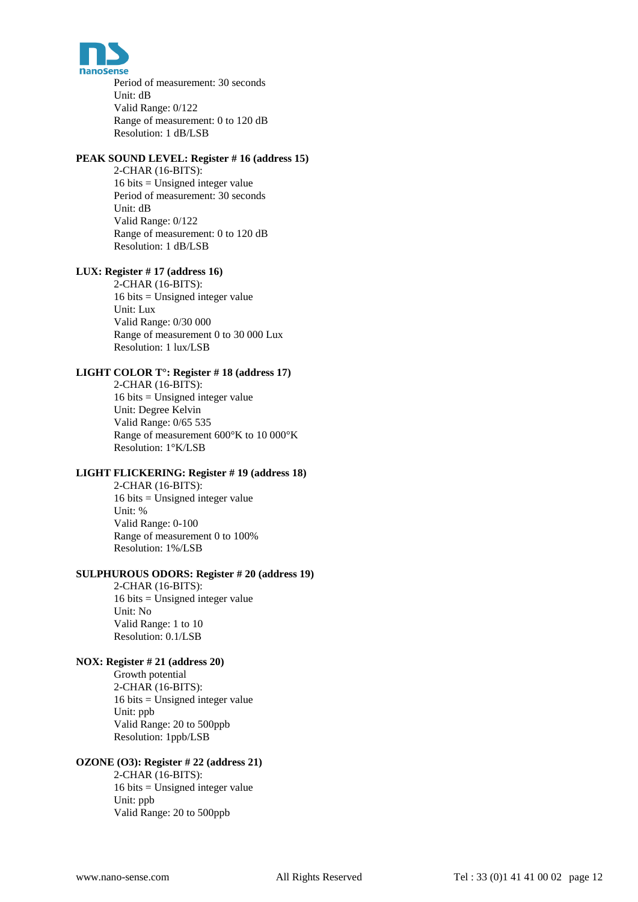

Period of measurement: 30 seconds Unit: dB Valid Range: 0/122 Range of measurement: 0 to 120 dB Resolution: 1 dB/LSB

#### **PEAK SOUND LEVEL: Register # 16 (address 15)**

2-CHAR (16-BITS): 16 bits = Unsigned integer value Period of measurement: 30 seconds Unit: dB Valid Range: 0/122 Range of measurement: 0 to 120 dB Resolution: 1 dB/LSB

### **LUX: Register # 17 (address 16)**

2-CHAR (16-BITS): 16 bits = Unsigned integer value Unit: Lux Valid Range: 0/30 000 Range of measurement 0 to 30 000 Lux Resolution: 1 lux/LSB

### **LIGHT COLOR T°: Register # 18 (address 17)**

2-CHAR (16-BITS): 16 bits = Unsigned integer value Unit: Degree Kelvin Valid Range: 0/65 535 Range of measurement 600°K to 10 000°K

### **LIGHT FLICKERING: Register # 19 (address 18)**

Resolution: 1°K/LSB

2-CHAR (16-BITS):  $16 \text{ bits} =$  Unsigned integer value Unit: % Valid Range: 0-100 Range of measurement 0 to 100% Resolution: 1%/LSB

#### **SULPHUROUS ODORS: Register # 20 (address 19)**

2-CHAR (16-BITS): 16 bits = Unsigned integer value Unit: No Valid Range: 1 to 10 Resolution: 0.1/LSB

#### **NOX: Register # 21 (address 20)**

Growth potential 2-CHAR (16-BITS): 16 bits = Unsigned integer value Unit: ppb Valid Range: 20 to 500ppb Resolution: 1ppb/LSB

### **OZONE (O3): Register # 22 (address 21)**

2-CHAR (16-BITS): 16 bits = Unsigned integer value Unit: ppb Valid Range: 20 to 500ppb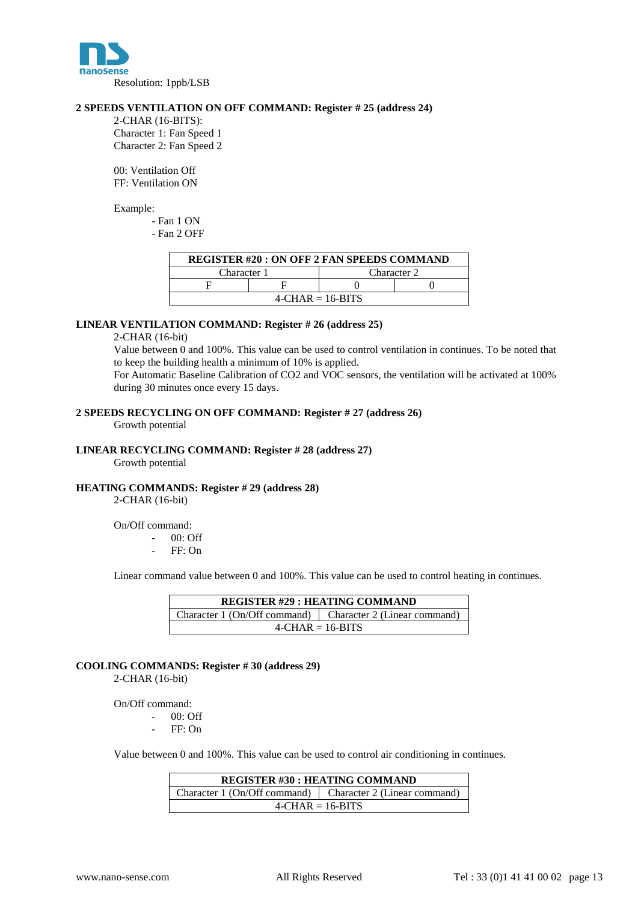

#### **2 SPEEDS VENTILATION ON OFF COMMAND: Register # 25 (address 24)**

2-CHAR (16-BITS): Character 1: Fan Speed 1 Character 2: Fan Speed 2

00: Ventilation Off FF: Ventilation ON

Example:

- Fan 1 ON

- Fan 2 OFF

| <b>REGISTER #20 : ON OFF 2 FAN SPEEDS COMMAND</b> |  |             |  |  |  |  |  |  |  |  |
|---------------------------------------------------|--|-------------|--|--|--|--|--|--|--|--|
| Character 1                                       |  | Character 2 |  |  |  |  |  |  |  |  |
|                                                   |  |             |  |  |  |  |  |  |  |  |
| $4$ -CHAR = 16-BITS                               |  |             |  |  |  |  |  |  |  |  |

#### **LINEAR VENTILATION COMMAND: Register # 26 (address 25)**

#### 2-CHAR (16-bit)

Value between 0 and 100%. This value can be used to control ventilation in continues. To be noted that to keep the building health a minimum of 10% is applied.

For Automatic Baseline Calibration of CO2 and VOC sensors, the ventilation will be activated at 100% during 30 minutes once every 15 days.

#### **2 SPEEDS RECYCLING ON OFF COMMAND: Register # 27 (address 26)**

Growth potential

#### **LINEAR RECYCLING COMMAND: Register # 28 (address 27)**

Growth potential

#### **HEATING COMMANDS: Register # 29 (address 28)**

2-CHAR (16-bit)

On/Off command:

00: Off

FF: On

Linear command value between 0 and 100%. This value can be used to control heating in continues.

| <b>REGISTER #29 : HEATING COMMAND</b>                       |  |  |  |  |  |  |  |  |  |  |
|-------------------------------------------------------------|--|--|--|--|--|--|--|--|--|--|
| Character 1 (On/Off command)   Character 2 (Linear command) |  |  |  |  |  |  |  |  |  |  |
| $4$ -CHAR = 16-BITS                                         |  |  |  |  |  |  |  |  |  |  |

**COOLING COMMANDS: Register # 30 (address 29)** 2-CHAR (16-bit)

On/Off command:

- $00:$  Off
- FF: On

Value between 0 and 100%. This value can be used to control air conditioning in continues.

| <b>REGISTER #30 : HEATING COMMAND</b>                       |  |  |  |  |  |  |  |  |  |  |
|-------------------------------------------------------------|--|--|--|--|--|--|--|--|--|--|
| Character 1 (On/Off command)   Character 2 (Linear command) |  |  |  |  |  |  |  |  |  |  |
| $4-CHAR = 16-BITS$                                          |  |  |  |  |  |  |  |  |  |  |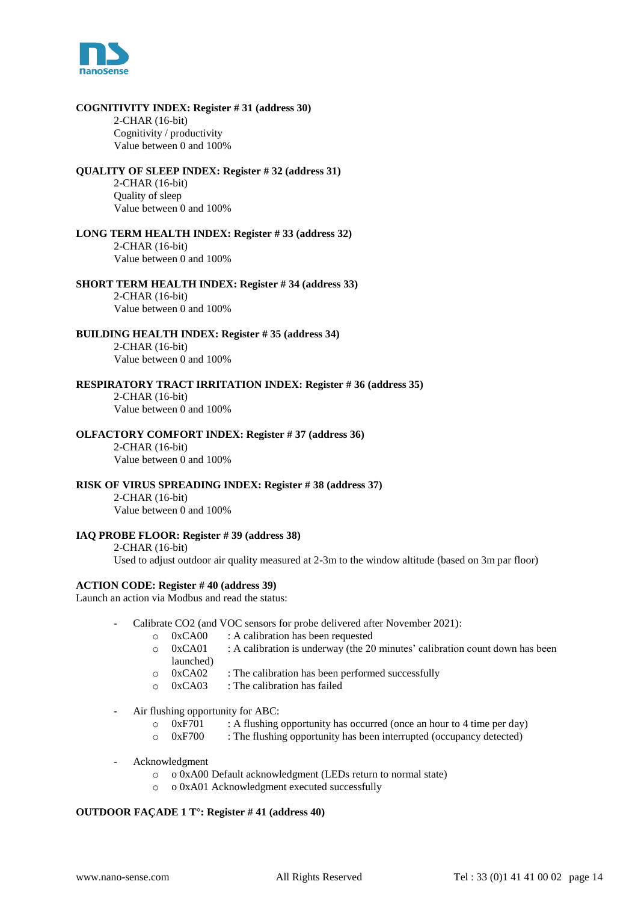

#### **COGNITIVITY INDEX: Register # 31 (address 30)**

2-CHAR (16-bit) Cognitivity / productivity Value between 0 and 100%

#### **QUALITY OF SLEEP INDEX: Register # 32 (address 31)**

2-CHAR (16-bit) Quality of sleep Value between 0 and 100%

**LONG TERM HEALTH INDEX: Register # 33 (address 32)** 2-CHAR (16-bit) Value between 0 and 100%

**SHORT TERM HEALTH INDEX: Register # 34 (address 33)** 2-CHAR (16-bit)

Value between 0 and 100%

**BUILDING HEALTH INDEX: Register # 35 (address 34)** 2-CHAR (16-bit)

Value between 0 and 100%

### **RESPIRATORY TRACT IRRITATION INDEX: Register # 36 (address 35)**

2-CHAR (16-bit) Value between 0 and 100%

#### **OLFACTORY COMFORT INDEX: Register # 37 (address 36)**

2-CHAR (16-bit) Value between 0 and 100%

#### **RISK OF VIRUS SPREADING INDEX: Register # 38 (address 37)**

2-CHAR (16-bit) Value between 0 and 100%

#### **IAQ PROBE FLOOR: Register # 39 (address 38)**

2-CHAR (16-bit) Used to adjust outdoor air quality measured at 2-3m to the window altitude (based on 3m par floor)

#### **ACTION CODE: Register # 40 (address 39)**

Launch an action via Modbus and read the status:

- Calibrate CO2 (and VOC sensors for probe delivered after November 2021):
	- o 0xCA00 : A calibration has been requested
	- o 0xCA01 : A calibration is underway (the 20 minutes' calibration count down has been launched)
	- o 0xCA02 : The calibration has been performed successfully
	- o 0xCA03 : The calibration has failed
- Air flushing opportunity for ABC:
	- o 0xF701 : A flushing opportunity has occurred (once an hour to 4 time per day)<br>
	o 0xF700 : The flushing opportunity has been interrupted (occupancy detected)
		- $\therefore$  The flushing opportunity has been interrupted (occupancy detected)
- Acknowledgment
	- o o 0xA00 Default acknowledgment (LEDs return to normal state)
	- o o 0xA01 Acknowledgment executed successfully

#### **OUTDOOR FAÇADE 1 T°: Register # 41 (address 40)**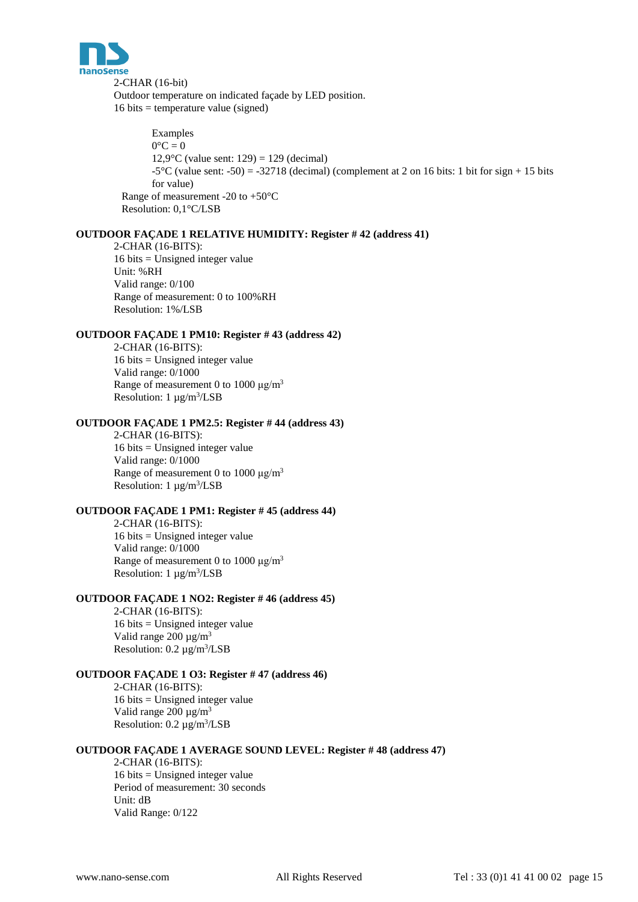

2-CHAR (16-bit) Outdoor temperature on indicated façade by LED position.  $16 \text{ bits} = \text{temperature value (signed)}$ 

Examples  $0^{\circ}C = 0$ 12,9 $^{\circ}$ C (value sent: 129) = 129 (decimal)  $-5^{\circ}$ C (value sent:  $-50$ ) =  $-32718$  (decimal) (complement at 2 on 16 bits: 1 bit for sign + 15 bits for value) Range of measurement -20 to +50°C Resolution: 0,1°C/LSB

### **OUTDOOR FAÇADE 1 RELATIVE HUMIDITY: Register # 42 (address 41)**

2-CHAR (16-BITS): 16 bits = Unsigned integer value Unit: %RH Valid range: 0/100 Range of measurement: 0 to 100%RH Resolution: 1%/LSB

#### **OUTDOOR FAÇADE 1 PM10: Register # 43 (address 42)**

2-CHAR (16-BITS): 16 bits = Unsigned integer value Valid range: 0/1000 Range of measurement 0 to 1000  $\mu$ g/m<sup>3</sup> Resolution:  $1 \mu g/m^3 / LSB$ 

#### **OUTDOOR FAÇADE 1 PM2.5: Register # 44 (address 43)**

2-CHAR (16-BITS): 16 bits = Unsigned integer value Valid range: 0/1000 Range of measurement 0 to 1000  $\mu$ g/m<sup>3</sup> Resolution:  $1 \mu g/m^3 / LSB$ 

# **OUTDOOR FAÇADE 1 PM1: Register # 45 (address 44)**

2-CHAR (16-BITS): 16 bits = Unsigned integer value Valid range: 0/1000 Range of measurement 0 to 1000 μg/m<sup>3</sup> Resolution:  $1 \mu g/m^3 / LSB$ 

#### **OUTDOOR FAÇADE 1 NO2: Register # 46 (address 45)**

2-CHAR (16-BITS): 16 bits = Unsigned integer value Valid range  $200 \mu g/m^3$ Resolution:  $0.2 \mu g/m^3 / LSB$ 

## **OUTDOOR FAÇADE 1 O3: Register # 47 (address 46)**

2-CHAR (16-BITS): 16 bits = Unsigned integer value Valid range  $200 \mu g/m^3$ Resolution:  $0.2 \mu g/m^3 / LSB$ 

#### **OUTDOOR FAÇADE 1 AVERAGE SOUND LEVEL: Register # 48 (address 47)**

2-CHAR (16-BITS): 16 bits = Unsigned integer value Period of measurement: 30 seconds Unit: dB Valid Range: 0/122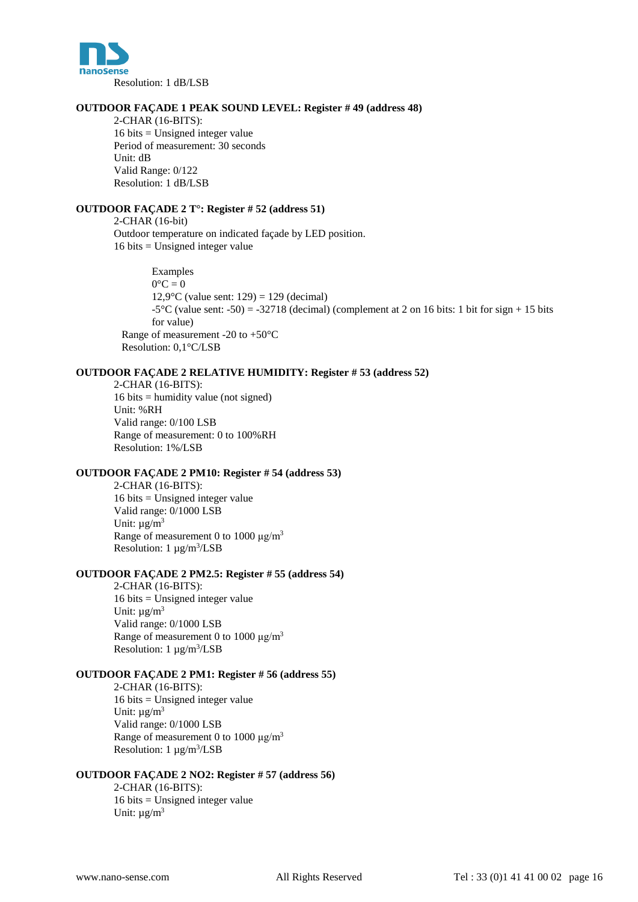

#### **OUTDOOR FAÇADE 1 PEAK SOUND LEVEL: Register # 49 (address 48)**

2-CHAR (16-BITS): 16 bits = Unsigned integer value Period of measurement: 30 seconds Unit: dB Valid Range: 0/122 Resolution: 1 dB/LSB

#### **OUTDOOR FAÇADE 2 T°: Register # 52 (address 51)**

2-CHAR (16-bit) Outdoor temperature on indicated façade by LED position. 16 bits = Unsigned integer value

Examples  $0^{\circ}C = 0$ 12,9 $^{\circ}$ C (value sent: 129) = 129 (decimal)  $-5^{\circ}$ C (value sent:  $-50$ ) =  $-32718$  (decimal) (complement at 2 on 16 bits: 1 bit for sign + 15 bits for value) Range of measurement -20 to +50°C Resolution: 0,1°C/LSB

#### **OUTDOOR FAÇADE 2 RELATIVE HUMIDITY: Register # 53 (address 52)**

2-CHAR (16-BITS): 16 bits = humidity value (not signed) Unit: %RH Valid range: 0/100 LSB Range of measurement: 0 to 100%RH Resolution: 1%/LSB

#### **OUTDOOR FAÇADE 2 PM10: Register # 54 (address 53)**

2-CHAR (16-BITS): 16 bits = Unsigned integer value Valid range: 0/1000 LSB Unit:  $\mu$ g/m<sup>3</sup> Range of measurement 0 to 1000 μg/m<sup>3</sup> Resolution:  $1 \mu g/m^3 / LSB$ 

#### **OUTDOOR FAÇADE 2 PM2.5: Register # 55 (address 54)**

2-CHAR (16-BITS): 16 bits = Unsigned integer value Unit:  $\mu$ g/m<sup>3</sup> Valid range: 0/1000 LSB Range of measurement 0 to 1000  $\mu$ g/m<sup>3</sup> Resolution:  $1 \mu g/m^3 / LSB$ 

## **OUTDOOR FAÇADE 2 PM1: Register # 56 (address 55)**

2-CHAR (16-BITS): 16 bits = Unsigned integer value Unit:  $\mu$ g/m<sup>3</sup> Valid range: 0/1000 LSB Range of measurement 0 to 1000  $\mu$ g/m<sup>3</sup> Resolution:  $1 \mu g/m^3 / LSB$ 

### **OUTDOOR FAÇADE 2 NO2: Register # 57 (address 56)**

2-CHAR (16-BITS): 16 bits = Unsigned integer value Unit:  $\mu$ g/m<sup>3</sup>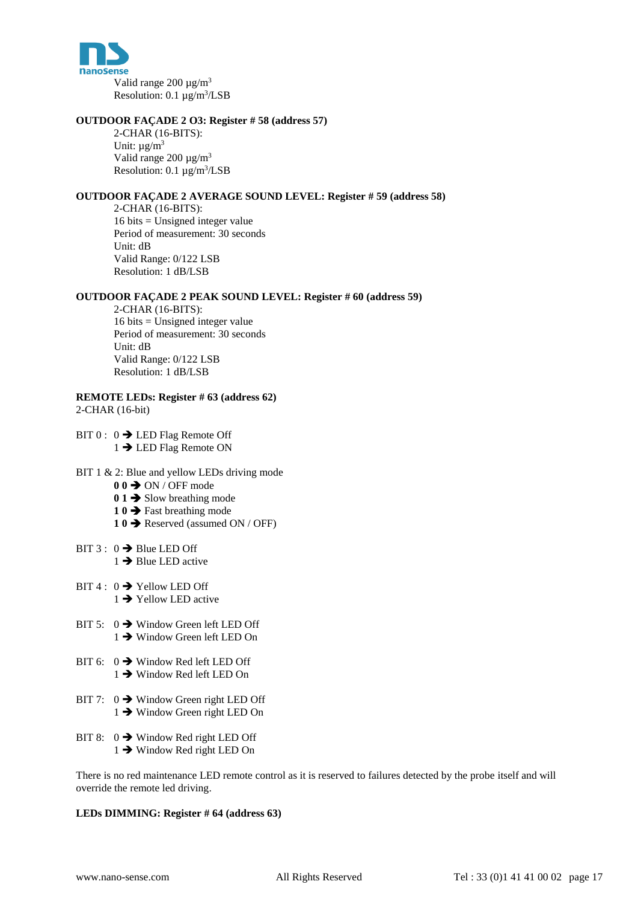

#### **OUTDOOR FAÇADE 2 O3: Register # 58 (address 57)**

2-CHAR (16-BITS): Unit:  $\mu$ g/m<sup>3</sup> Valid range  $200 \mu g/m^3$ Resolution:  $0.1 \mu g/m^3 / LSB$ 

#### **OUTDOOR FAÇADE 2 AVERAGE SOUND LEVEL: Register # 59 (address 58)**

2-CHAR (16-BITS): 16 bits = Unsigned integer value Period of measurement: 30 seconds Unit: dB Valid Range: 0/122 LSB Resolution: 1 dB/LSB

#### **OUTDOOR FAÇADE 2 PEAK SOUND LEVEL: Register # 60 (address 59)**

2-CHAR (16-BITS): 16 bits = Unsigned integer value Period of measurement: 30 seconds Unit: dB Valid Range: 0/122 LSB Resolution: 1 dB/LSB

**REMOTE LEDs: Register # 63 (address 62)**

2-CHAR (16-bit)

BIT  $0: 0 \rightarrow$  LED Flag Remote Off 1 → LED Flag Remote ON

#### BIT 1 & 2: Blue and yellow LEDs driving mode

- **0 0 → ON / OFF mode**
- 0 1  $\rightarrow$  Slow breathing mode
- 1 0  $\rightarrow$  Fast breathing mode
- 1 0  $\rightarrow$  Reserved (assumed ON / OFF)
- BIT 3 :  $0 \rightarrow$  Blue LED Off  $1 \rightarrow$  Blue LED active
- BIT 4 :  $0 \rightarrow$  Yellow LED Off  $1 \rightarrow$  Yellow LED active
- BIT 5:  $0 \rightarrow$  Window Green left LED Off  $1 \rightarrow$  Window Green left LED On
- BIT 6:  $0 \rightarrow$  Window Red left LED Off  $1 \rightarrow$  Window Red left LED On
- BIT 7:  $0 \rightarrow$  Window Green right LED Off  $1 \rightarrow$  Window Green right LED On
- BIT 8:  $0 \rightarrow$  Window Red right LED Off  $1 \rightarrow$  Window Red right LED On

There is no red maintenance LED remote control as it is reserved to failures detected by the probe itself and will override the remote led driving.

#### **LEDs DIMMING: Register # 64 (address 63)**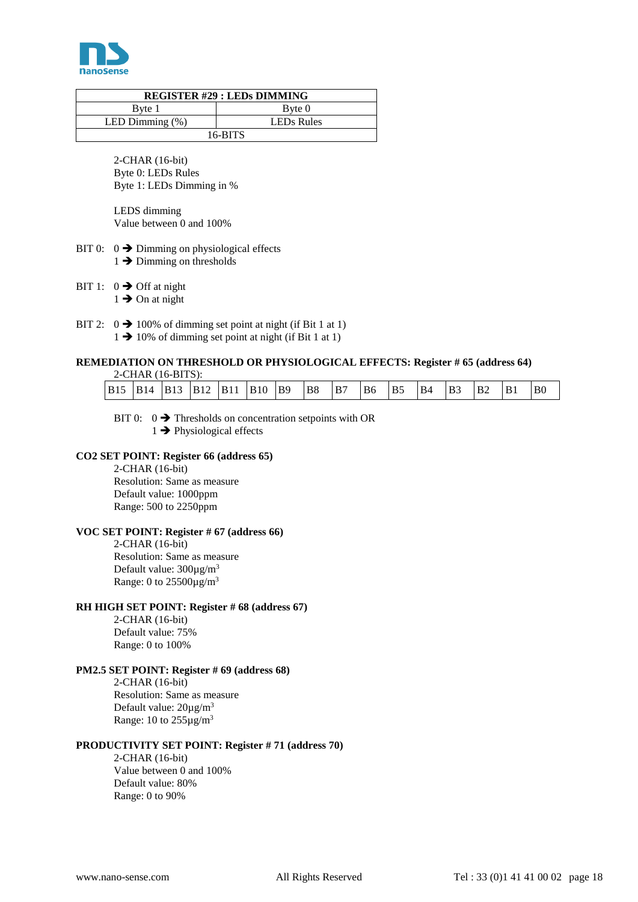

| <b>REGISTER #29 : LEDS DIMMING</b> |                        |  |  |  |  |  |  |  |  |  |
|------------------------------------|------------------------|--|--|--|--|--|--|--|--|--|
| Byte 1                             | $B$ <sub>yte</sub> $0$ |  |  |  |  |  |  |  |  |  |
| LED Dimming $(\%)$                 | <b>LEDs Rules</b>      |  |  |  |  |  |  |  |  |  |
| $16-BITS$                          |                        |  |  |  |  |  |  |  |  |  |

2-CHAR (16-bit) Byte 0: LEDs Rules Byte 1: LEDs Dimming in %

LEDS dimming Value between 0 and 100%

- BIT 0:  $0 \rightarrow$  Dimming on physiological effects  $1 \rightarrow$  Dimming on thresholds
- BIT 1:  $0 \rightarrow$  Off at night
	- $1 \rightarrow$  On at night
- BIT 2:  $0 \rightarrow 100\%$  of dimming set point at night (if Bit 1 at 1)
	- $1 \rightarrow 10\%$  of dimming set point at night (if Bit 1 at 1)

# **REMEDIATION ON THRESHOLD OR PHYSIOLOGICAL EFFECTS: Register # 65 (address 64)**

|     |      | $2$ -CHAR $(16$ -BITS $)$ : |             |     |             |            |    |    |    |           |    |                       |           |                |    |
|-----|------|-----------------------------|-------------|-----|-------------|------------|----|----|----|-----------|----|-----------------------|-----------|----------------|----|
| B15 | 'B14 | <b>B</b> 13                 | <b>B</b> 12 | B11 | <b>B</b> 10 | <b>B</b> 9 | B8 | B7 | B6 | <b>B5</b> | B4 | <b>B</b> <sub>3</sub> | <b>B2</b> | B <sub>1</sub> | B0 |

BIT 0:  $0 \rightarrow$  Thresholds on concentration setpoints with OR  $1 \rightarrow$  Physiological effects

### **CO2 SET POINT: Register 66 (address 65)**

2-CHAR (16-bit) Resolution: Same as measure Default value: 1000ppm Range: 500 to 2250ppm

#### **VOC SET POINT: Register # 67 (address 66)**

2-CHAR (16-bit) Resolution: Same as measure Default value:  $300\mu g/m^3$ Range: 0 to  $25500 \mu g/m^3$ 

#### **RH HIGH SET POINT: Register # 68 (address 67)**

2-CHAR (16-bit) Default value: 75% Range: 0 to 100%

#### **PM2.5 SET POINT: Register # 69 (address 68)**

2-CHAR (16-bit) Resolution: Same as measure Default value: 20µg/m<sup>3</sup> Range: 10 to  $255\mu g/m^3$ 

#### **PRODUCTIVITY SET POINT: Register # 71 (address 70)**

2-CHAR (16-bit) Value between 0 and 100% Default value: 80% Range: 0 to 90%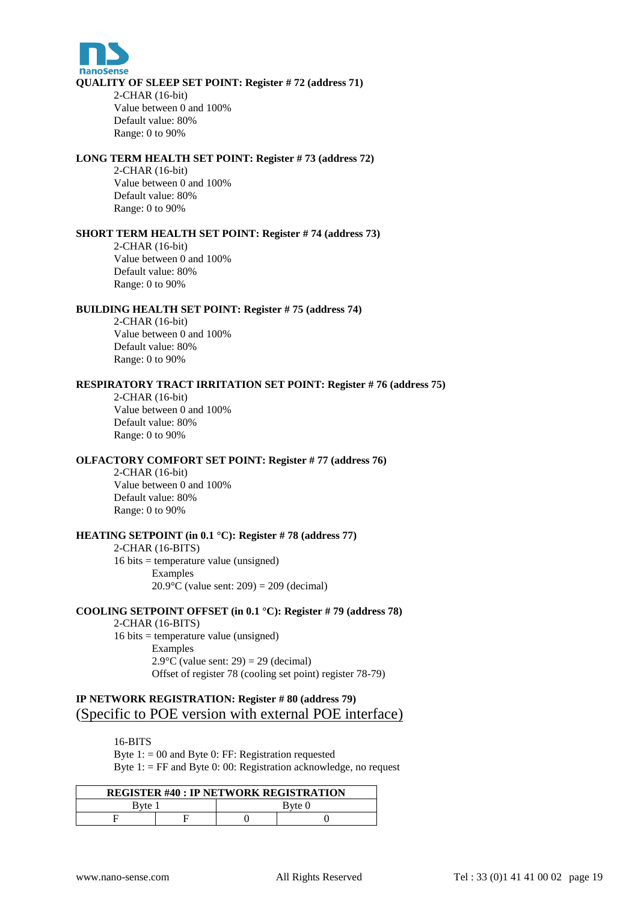

#### **QUALITY OF SLEEP SET POINT: Register # 72 (address 71)**

2-CHAR (16-bit) Value between 0 and 100% Default value: 80% Range: 0 to 90%

# **LONG TERM HEALTH SET POINT: Register # 73 (address 72)**

2-CHAR (16-bit)

Value between 0 and 100% Default value: 80% Range: 0 to 90%

#### **SHORT TERM HEALTH SET POINT: Register # 74 (address 73)**

2-CHAR (16-bit) Value between 0 and 100% Default value: 80% Range: 0 to 90%

#### **BUILDING HEALTH SET POINT: Register # 75 (address 74)**

2-CHAR (16-bit) Value between 0 and 100% Default value: 80% Range: 0 to 90%

#### **RESPIRATORY TRACT IRRITATION SET POINT: Register # 76 (address 75)**

2-CHAR (16-bit) Value between 0 and 100% Default value: 80% Range: 0 to 90%

#### **OLFACTORY COMFORT SET POINT: Register # 77 (address 76)**

2-CHAR (16-bit) Value between 0 and 100% Default value: 80% Range: 0 to 90%

#### **HEATING SETPOINT (in 0.1 °C): Register # 78 (address 77)**

2-CHAR (16-BITS) 16 bits = temperature value (unsigned) Examples 20.9 $^{\circ}$ C (value sent: 209) = 209 (decimal)

#### **COOLING SETPOINT OFFSET (in 0.1 °C): Register # 79 (address 78)** 2-CHAR (16-BITS) 16 bits = temperature value (unsigned)

Examples  $2.9^{\circ}$ C (value sent: 29) = 29 (decimal) Offset of register 78 (cooling set point) register 78-79)

# **IP NETWORK REGISTRATION: Register # 80 (address 79)** (Specific to POE version with external POE interface)

#### 16-BITS

Byte  $1: = 00$  and Byte 0: FF: Registration requested Byte  $1:$  = FF and Byte 0: 00: Registration acknowledge, no request

| <b>REGISTER #40 : IP NETWORK REGISTRATION</b> |  |        |  |  |  |  |  |  |  |  |
|-----------------------------------------------|--|--------|--|--|--|--|--|--|--|--|
| Byte                                          |  | Byte 0 |  |  |  |  |  |  |  |  |
|                                               |  |        |  |  |  |  |  |  |  |  |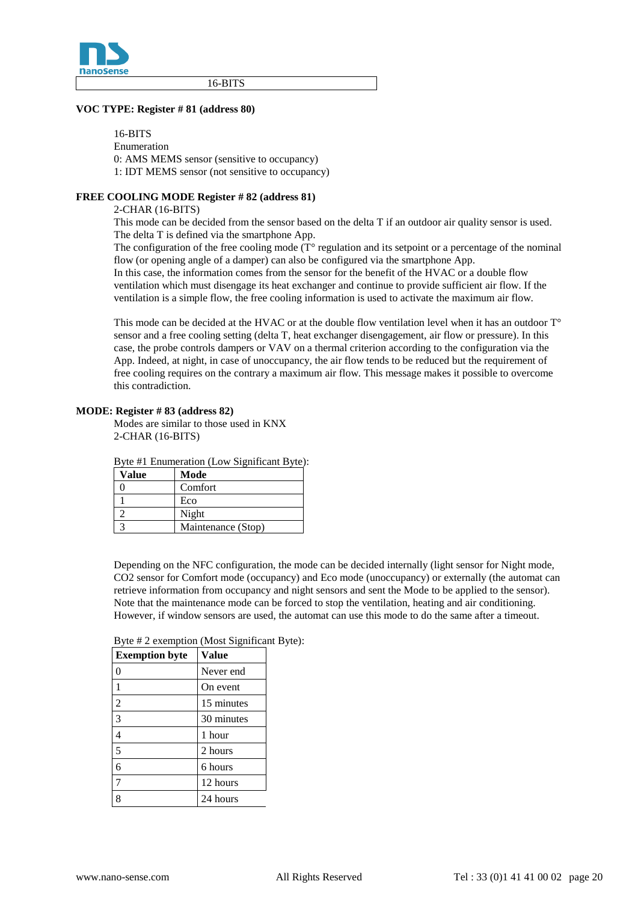

16-BITS

#### **VOC TYPE: Register # 81 (address 80)**

16-BITS Enumeration 0: AMS MEMS sensor (sensitive to occupancy) 1: IDT MEMS sensor (not sensitive to occupancy)

#### **FREE COOLING MODE Register # 82 (address 81)**

2-CHAR (16-BITS)

This mode can be decided from the sensor based on the delta T if an outdoor air quality sensor is used. The delta T is defined via the smartphone App.

The configuration of the free cooling mode  $(T^{\circ}$  regulation and its setpoint or a percentage of the nominal flow (or opening angle of a damper) can also be configured via the smartphone App. In this case, the information comes from the sensor for the benefit of the HVAC or a double flow ventilation which must disengage its heat exchanger and continue to provide sufficient air flow. If the ventilation is a simple flow, the free cooling information is used to activate the maximum air flow.

This mode can be decided at the HVAC or at the double flow ventilation level when it has an outdoor T<sup>o</sup> sensor and a free cooling setting (delta T, heat exchanger disengagement, air flow or pressure). In this case, the probe controls dampers or VAV on a thermal criterion according to the configuration via the App. Indeed, at night, in case of unoccupancy, the air flow tends to be reduced but the requirement of free cooling requires on the contrary a maximum air flow. This message makes it possible to overcome this contradiction.

#### **MODE: Register # 83 (address 82)**

Modes are similar to those used in KNX 2-CHAR (16-BITS)

Byte #1 Enumeration (Low Significant Byte):

| Value | Mode               |
|-------|--------------------|
|       | Comfort            |
|       | Eco                |
|       | Night              |
|       | Maintenance (Stop) |

Depending on the NFC configuration, the mode can be decided internally (light sensor for Night mode, CO2 sensor for Comfort mode (occupancy) and Eco mode (unoccupancy) or externally (the automat can retrieve information from occupancy and night sensors and sent the Mode to be applied to the sensor). Note that the maintenance mode can be forced to stop the ventilation, heating and air conditioning. However, if window sensors are used, the automat can use this mode to do the same after a timeout.

| <b>Exemption byte</b> | <b>Value</b> |
|-----------------------|--------------|
| 0                     | Never end    |
| 1                     | On event     |
| $\overline{2}$        | 15 minutes   |
| 3                     | 30 minutes   |
| 4                     | 1 hour       |
| 5                     | 2 hours      |
| б                     | 6 hours      |
| 7                     | 12 hours     |
| 8                     | 24 hours     |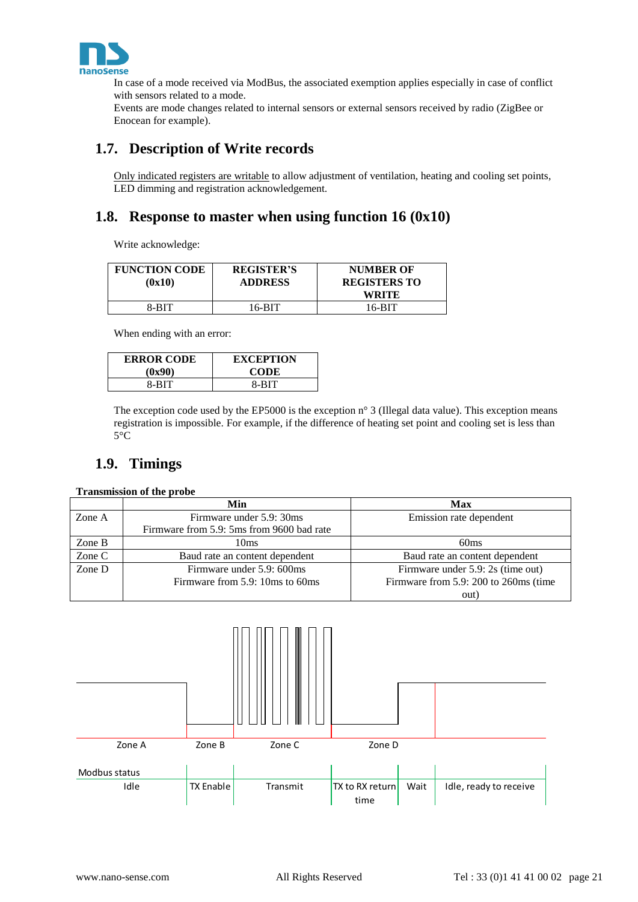

In case of a mode received via ModBus, the associated exemption applies especially in case of conflict with sensors related to a mode.

Events are mode changes related to internal sensors or external sensors received by radio (ZigBee or Enocean for example).

# <span id="page-20-0"></span>**1.7. Description of Write records**

Only indicated registers are writable to allow adjustment of ventilation, heating and cooling set points, LED dimming and registration acknowledgement.

# <span id="page-20-1"></span>**1.8. Response to master when using function 16 (0x10)**

Write acknowledge:

| <b>FUNCTION CODE</b><br>(0x10) | <b>REGISTER'S</b><br><b>ADDRESS</b> | <b>NUMBER OF</b><br><b>REGISTERS TO</b><br>WRITE |
|--------------------------------|-------------------------------------|--------------------------------------------------|
| 8-BIT                          | 16-BIT                              | 16-RIT                                           |

When ending with an error:

| <b>ERROR CODE</b> | <b>EXCEPTION</b> |
|-------------------|------------------|
| (0x90)            | <b>CODE</b>      |
| 8-BIT             | 8-BIT            |

The exception code used by the EP5000 is the exception n° 3 (Illegal data value). This exception means registration is impossible. For example, if the difference of heating set point and cooling set is less than 5°C

# <span id="page-20-2"></span>**1.9. Timings**

#### **Transmission of the probe**

|        | Min                                       | Max                                   |
|--------|-------------------------------------------|---------------------------------------|
| Zone A | Firmware under 5.9: 30ms                  | Emission rate dependent               |
|        | Firmware from 5.9: 5ms from 9600 bad rate |                                       |
| Zone B | 10ms                                      | 60 <sub>ms</sub>                      |
| Zone C | Baud rate an content dependent            | Baud rate an content dependent        |
| Zone D | Firmware under 5.9: 600ms                 | Firmware under 5.9: 2s (time out)     |
|        | Firmware from 5.9: 10ms to 60ms           | Firmware from 5.9: 200 to 260ms (time |
|        |                                           | out)                                  |

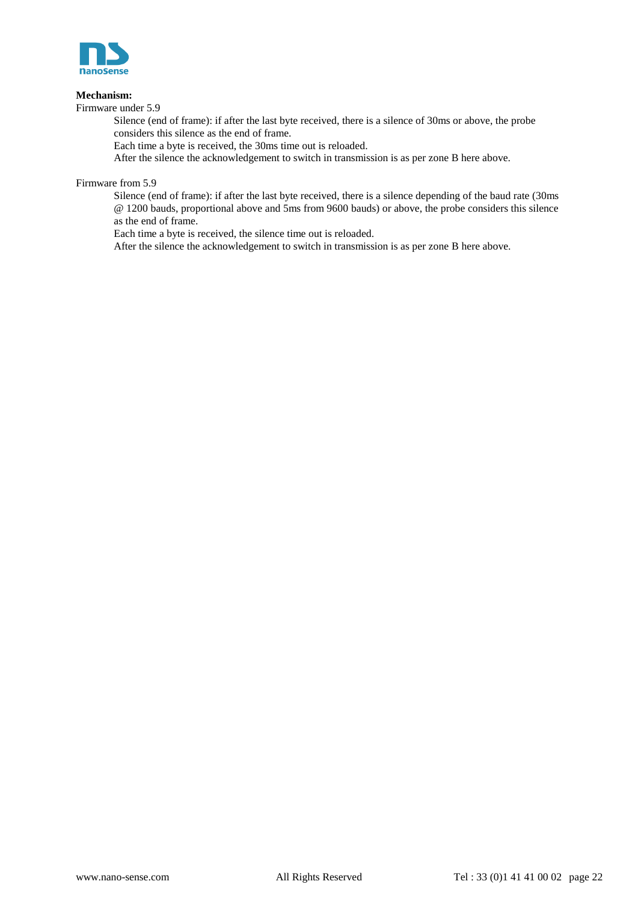

#### **Mechanism:**

Firmware under 5.9

Silence (end of frame): if after the last byte received, there is a silence of 30ms or above, the probe considers this silence as the end of frame.

Each time a byte is received, the 30ms time out is reloaded.

After the silence the acknowledgement to switch in transmission is as per zone B here above.

Firmware from 5.9

Silence (end of frame): if after the last byte received, there is a silence depending of the baud rate (30ms @ 1200 bauds, proportional above and 5ms from 9600 bauds) or above, the probe considers this silence as the end of frame.

Each time a byte is received, the silence time out is reloaded.

After the silence the acknowledgement to switch in transmission is as per zone B here above.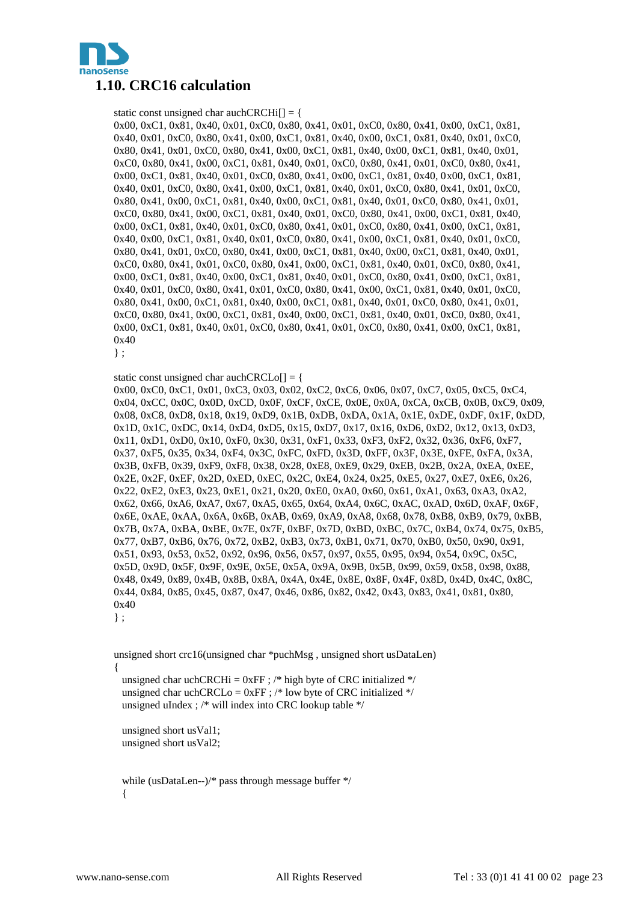<span id="page-22-0"></span>

static const unsigned char auchCRCHi $[] = \{$ 0x00, 0xC1, 0x81, 0x40, 0x01, 0xC0, 0x80, 0x41, 0x01, 0xC0, 0x80, 0x41, 0x00, 0xC1, 0x81, 0x40, 0x01, 0xC0, 0x80, 0x41, 0x00, 0xC1, 0x81, 0x40, 0x00, 0xC1, 0x81, 0x40, 0x01, 0xC0, 0x80, 0x41, 0x01, 0xC0, 0x80, 0x41, 0x00, 0xC1, 0x81, 0x40, 0x00, 0xC1, 0x81, 0x40, 0x01, 0xC0, 0x80, 0x41, 0x00, 0xC1, 0x81, 0x40, 0x01, 0xC0, 0x80, 0x41, 0x01, 0xC0, 0x80, 0x41, 0x00, 0xC1, 0x81, 0x40, 0x01, 0xC0, 0x80, 0x41, 0x00, 0xC1, 0x81, 0x40, 0x00, 0xC1, 0x81, 0x40, 0x01, 0xC0, 0x80, 0x41, 0x00, 0xC1, 0x81, 0x40, 0x01, 0xC0, 0x80, 0x41, 0x01, 0xC0, 0x80, 0x41, 0x00, 0xC1, 0x81, 0x40, 0x00, 0xC1, 0x81, 0x40, 0x01, 0xC0, 0x80, 0x41, 0x01, 0xC0, 0x80, 0x41, 0x00, 0xC1, 0x81, 0x40, 0x01, 0xC0, 0x80, 0x41, 0x00, 0xC1, 0x81, 0x40, 0x00, 0xC1, 0x81, 0x40, 0x01, 0xC0, 0x80, 0x41, 0x01, 0xC0, 0x80, 0x41, 0x00, 0xC1, 0x81, 0x40, 0x00, 0xC1, 0x81, 0x40, 0x01, 0xC0, 0x80, 0x41, 0x00, 0xC1, 0x81, 0x40, 0x01, 0xC0, 0x80, 0x41, 0x01, 0xC0, 0x80, 0x41, 0x00, 0xC1, 0x81, 0x40, 0x00, 0xC1, 0x81, 0x40, 0x01, 0xC0, 0x80, 0x41, 0x01, 0xC0, 0x80, 0x41, 0x00, 0xC1, 0x81, 0x40, 0x01, 0xC0, 0x80, 0x41, 0x00, 0xC1, 0x81, 0x40, 0x00, 0xC1, 0x81, 0x40, 0x01, 0xC0, 0x80, 0x41, 0x00, 0xC1, 0x81, 0x40, 0x01, 0xC0, 0x80, 0x41, 0x01, 0xC0, 0x80, 0x41, 0x00, 0xC1, 0x81, 0x40, 0x01, 0xC0, 0x80, 0x41, 0x00, 0xC1, 0x81, 0x40, 0x00, 0xC1, 0x81, 0x40, 0x01, 0xC0, 0x80, 0x41, 0x01, 0xC0, 0x80, 0x41, 0x00, 0xC1, 0x81, 0x40, 0x00, 0xC1, 0x81, 0x40, 0x01, 0xC0, 0x80, 0x41, 0x00, 0xC1, 0x81, 0x40, 0x01, 0xC0, 0x80, 0x41, 0x01, 0xC0, 0x80, 0x41, 0x00, 0xC1, 0x81, 0x40

} ;

static const unsigned char auchCRCLo[] = {

0x00, 0xC0, 0xC1, 0x01, 0xC3, 0x03, 0x02, 0xC2, 0xC6, 0x06, 0x07, 0xC7, 0x05, 0xC5, 0xC4, 0x04, 0xCC, 0x0C, 0x0D, 0xCD, 0x0F, 0xCF, 0xCE, 0x0E, 0x0A, 0xCA, 0xCB, 0x0B, 0xC9, 0x09, 0x08, 0xC8, 0xD8, 0x18, 0x19, 0xD9, 0x1B, 0xDB, 0xDA, 0x1A, 0x1E, 0xDE, 0xDF, 0x1F, 0xDD, 0x1D, 0x1C, 0xDC, 0x14, 0xD4, 0xD5, 0x15, 0xD7, 0x17, 0x16, 0xD6, 0xD2, 0x12, 0x13, 0xD3, 0x11, 0xD1, 0xD0, 0x10, 0xF0, 0x30, 0x31, 0xF1, 0x33, 0xF3, 0xF2, 0x32, 0x36, 0xF6, 0xF7, 0x37, 0xF5, 0x35, 0x34, 0xF4, 0x3C, 0xFC, 0xFD, 0x3D, 0xFF, 0x3F, 0x3E, 0xFE, 0xFA, 0x3A, 0x3B, 0xFB, 0x39, 0xF9, 0xF8, 0x38, 0x28, 0xE8, 0xE9, 0x29, 0xEB, 0x2B, 0x2A, 0xEA, 0xEE, 0x2E, 0x2F, 0xEF, 0x2D, 0xED, 0xEC, 0x2C, 0xE4, 0x24, 0x25, 0xE5, 0x27, 0xE7, 0xE6, 0x26, 0x22, 0xE2, 0xE3, 0x23, 0xE1, 0x21, 0x20, 0xE0, 0xA0, 0x60, 0x61, 0xA1, 0x63, 0xA3, 0xA2, 0x62, 0x66, 0xA6, 0xA7, 0x67, 0xA5, 0x65, 0x64, 0xA4, 0x6C, 0xAC, 0xAD, 0x6D, 0xAF, 0x6F, 0x6E, 0xAE, 0xAA, 0x6A, 0x6B, 0xAB, 0x69, 0xA9, 0xA8, 0x68, 0x78, 0xB8, 0xB9, 0x79, 0xBB, 0x7B, 0x7A, 0xBA, 0xBE, 0x7E, 0x7F, 0xBF, 0x7D, 0xBD, 0xBC, 0x7C, 0xB4, 0x74, 0x75, 0xB5, 0x77, 0xB7, 0xB6, 0x76, 0x72, 0xB2, 0xB3, 0x73, 0xB1, 0x71, 0x70, 0xB0, 0x50, 0x90, 0x91, 0x51, 0x93, 0x53, 0x52, 0x92, 0x96, 0x56, 0x57, 0x97, 0x55, 0x95, 0x94, 0x54, 0x9C, 0x5C, 0x5D, 0x9D, 0x5F, 0x9F, 0x9E, 0x5E, 0x5A, 0x9A, 0x9B, 0x5B, 0x99, 0x59, 0x58, 0x98, 0x88, 0x48, 0x49, 0x89, 0x4B, 0x8B, 0x8A, 0x4A, 0x4E, 0x8E, 0x8F, 0x4F, 0x8D, 0x4D, 0x4C, 0x8C, 0x44, 0x84, 0x85, 0x45, 0x87, 0x47, 0x46, 0x86, 0x82, 0x42, 0x43, 0x83, 0x41, 0x81, 0x80, 0x40

} ;

unsigned short crc16(unsigned char \*puchMsg , unsigned short usDataLen) {

unsigned char uchCRCHi =  $0xFF$ ; /\* high byte of CRC initialized \*/ unsigned char uchCRCLo =  $0xFF$ ; /\* low byte of CRC initialized \*/ unsigned uIndex ; /\* will index into CRC lookup table \*/

 unsigned short usVal1; unsigned short usVal2;

 while (usDataLen--)/\* pass through message buffer \*/ {